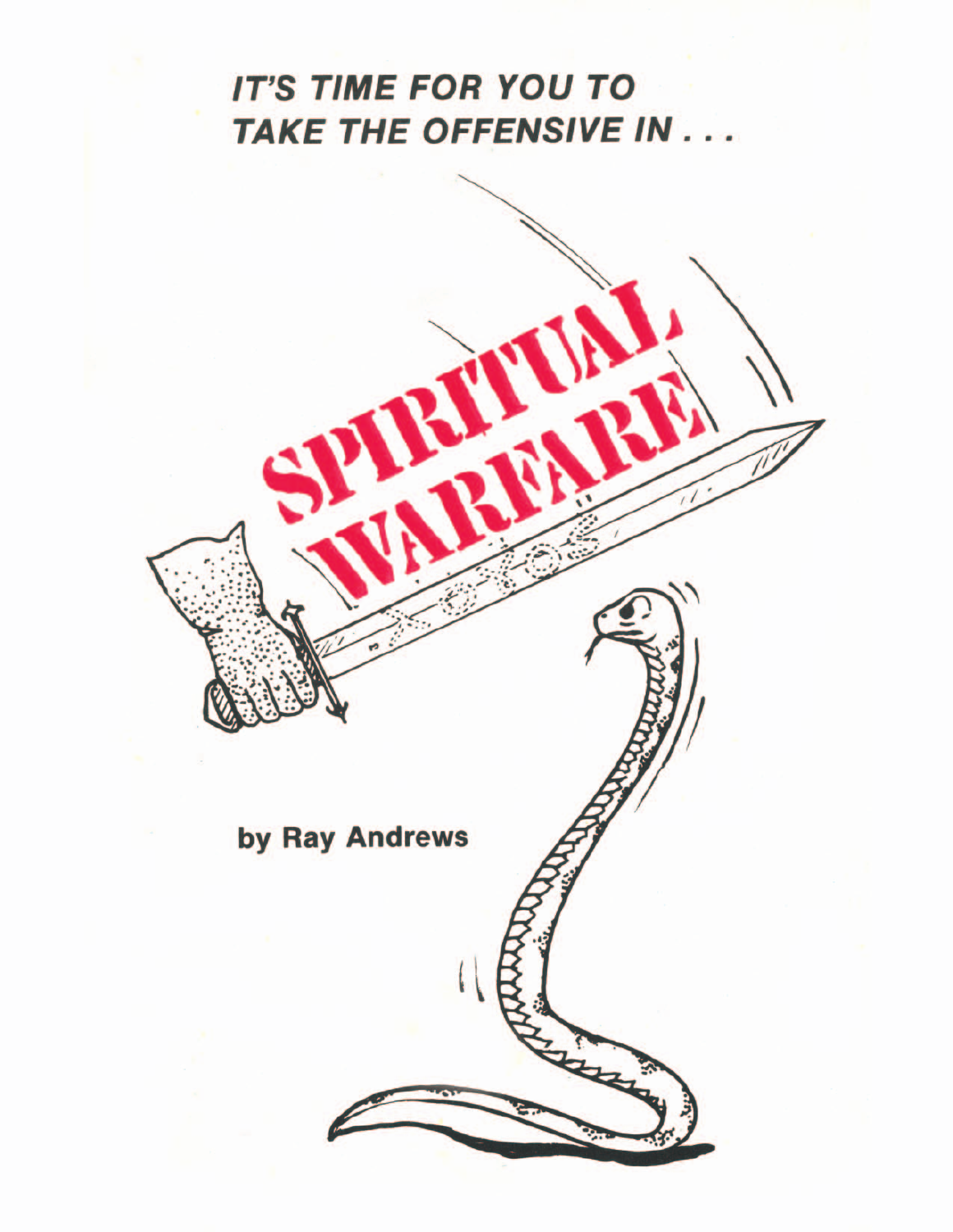# **IT'S TIME FOR YOU TO** TAKE THE OFFENSIVE IN . . .

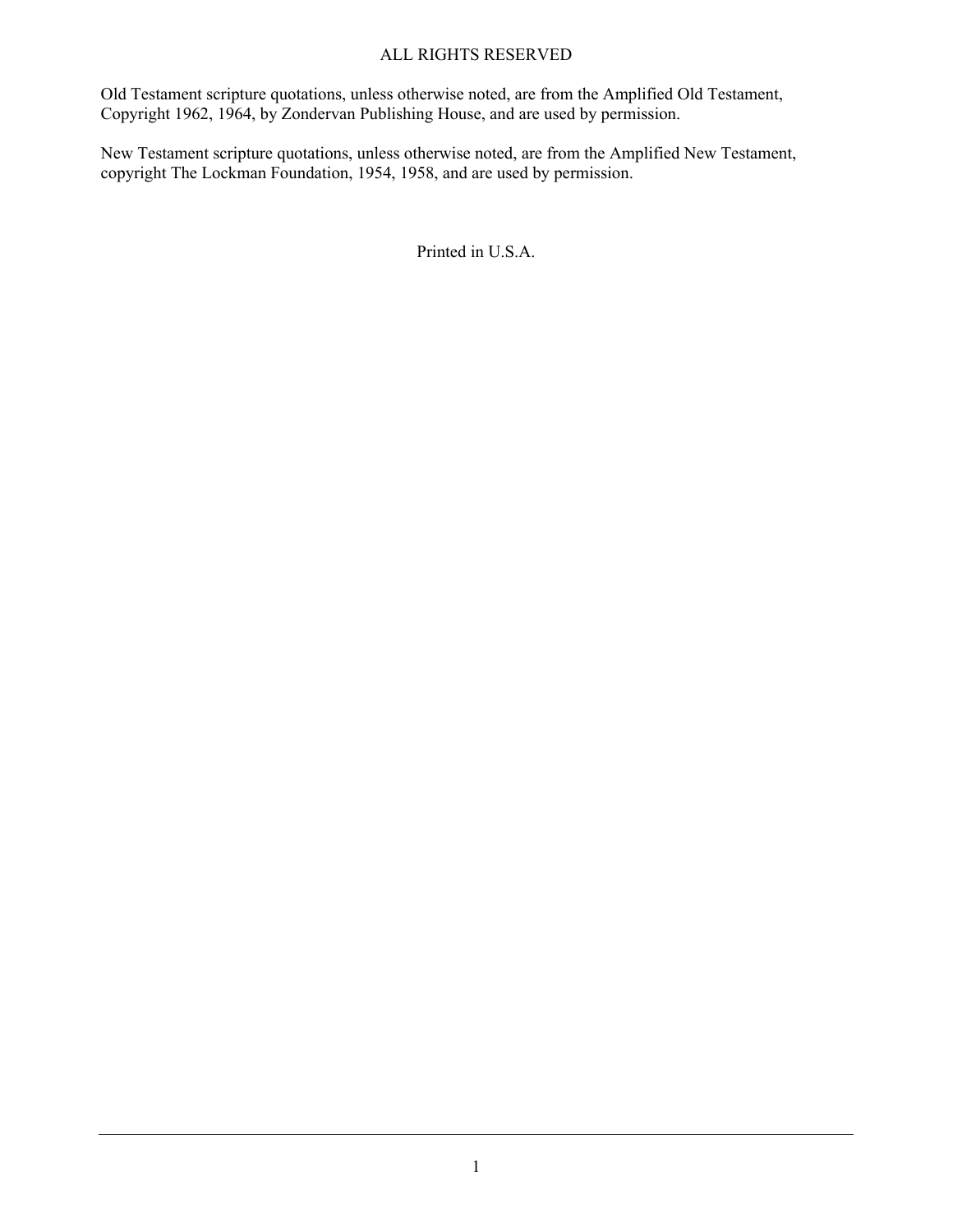#### ALL RIGHTS RESERVED

Old Testament scripture quotations, unless otherwise noted, are from the Amplified Old Testament, Copyright 1962, 1964, by Zondervan Publishing House, and are used by permission.

New Testament scripture quotations, unless otherwise noted, are from the Amplified New Testament, copyright The Lockman Foundation, 1954, 1958, and are used by permission.

Printed in U.S.A.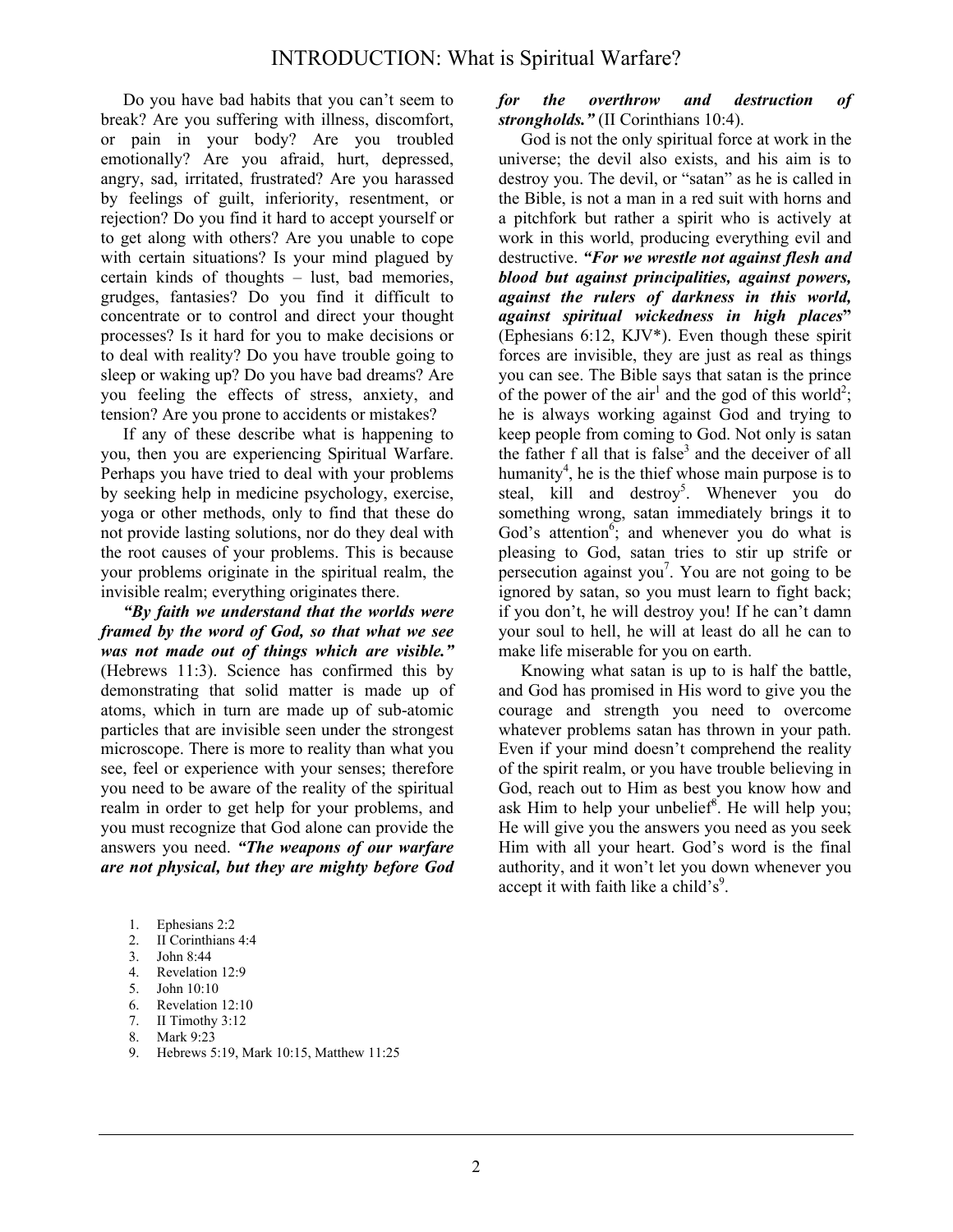Do you have bad habits that you can't seem to break? Are you suffering with illness, discomfort, or pain in your body? Are you troubled emotionally? Are you afraid, hurt, depressed, angry, sad, irritated, frustrated? Are you harassed by feelings of guilt, inferiority, resentment, or rejection? Do you find it hard to accept yourself or to get along with others? Are you unable to cope with certain situations? Is your mind plagued by certain kinds of thoughts – lust, bad memories, grudges, fantasies? Do you find it difficult to concentrate or to control and direct your thought processes? Is it hard for you to make decisions or to deal with reality? Do you have trouble going to sleep or waking up? Do you have bad dreams? Are you feeling the effects of stress, anxiety, and tension? Are you prone to accidents or mistakes?

 If any of these describe what is happening to you, then you are experiencing Spiritual Warfare. Perhaps you have tried to deal with your problems by seeking help in medicine psychology, exercise, yoga or other methods, only to find that these do not provide lasting solutions, nor do they deal with the root causes of your problems. This is because your problems originate in the spiritual realm, the invisible realm; everything originates there.

*"By faith we understand that the worlds were framed by the word of God, so that what we see was not made out of things which are visible."* (Hebrews 11:3). Science has confirmed this by demonstrating that solid matter is made up of atoms, which in turn are made up of sub-atomic particles that are invisible seen under the strongest microscope. There is more to reality than what you see, feel or experience with your senses; therefore you need to be aware of the reality of the spiritual realm in order to get help for your problems, and you must recognize that God alone can provide the answers you need. *"The weapons of our warfare are not physical, but they are mighty before God* 

- 5. John 10:10
- 6. Revelation 12:10
- 7. II Timothy 3:12
- 8. Mark 9:23
- 9. Hebrews 5:19, Mark 10:15, Matthew 11:25

#### *for the overthrow and destruction of strongholds."* (II Corinthians 10:4).

 God is not the only spiritual force at work in the universe; the devil also exists, and his aim is to destroy you. The devil, or "satan" as he is called in the Bible, is not a man in a red suit with horns and a pitchfork but rather a spirit who is actively at work in this world, producing everything evil and destructive. *"For we wrestle not against flesh and blood but against principalities, against powers, against the rulers of darkness in this world, against spiritual wickedness in high places***"** (Ephesians 6:12, KJV\*). Even though these spirit forces are invisible, they are just as real as things you can see. The Bible says that satan is the prince of the power of the air<sup>1</sup> and the god of this world<sup>2</sup>; he is always working against God and trying to keep people from coming to God. Not only is satan the father f all that is false<sup>3</sup> and the deceiver of all humanity<sup>4</sup>, he is the thief whose main purpose is to steal, kill and destroy<sup>5</sup>. Whenever you do something wrong, satan immediately brings it to God's attention<sup>6</sup>; and whenever you do what is pleasing to God, satan tries to stir up strife or persecution against you<sup>7</sup>. You are not going to be ignored by satan, so you must learn to fight back; if you don't, he will destroy you! If he can't damn your soul to hell, he will at least do all he can to make life miserable for you on earth.

 Knowing what satan is up to is half the battle, and God has promised in His word to give you the courage and strength you need to overcome whatever problems satan has thrown in your path. Even if your mind doesn't comprehend the reality of the spirit realm, or you have trouble believing in God, reach out to Him as best you know how and ask Him to help your unbelief<sup>8</sup>. He will help you; He will give you the answers you need as you seek Him with all your heart. God's word is the final authority, and it won't let you down whenever you accept it with faith like a child's<sup>9</sup>.

<sup>1.</sup> Ephesians 2:2

<sup>2.</sup> II Corinthians 4:4

<sup>3.</sup> John 8:44

<sup>4.</sup> Revelation 12:9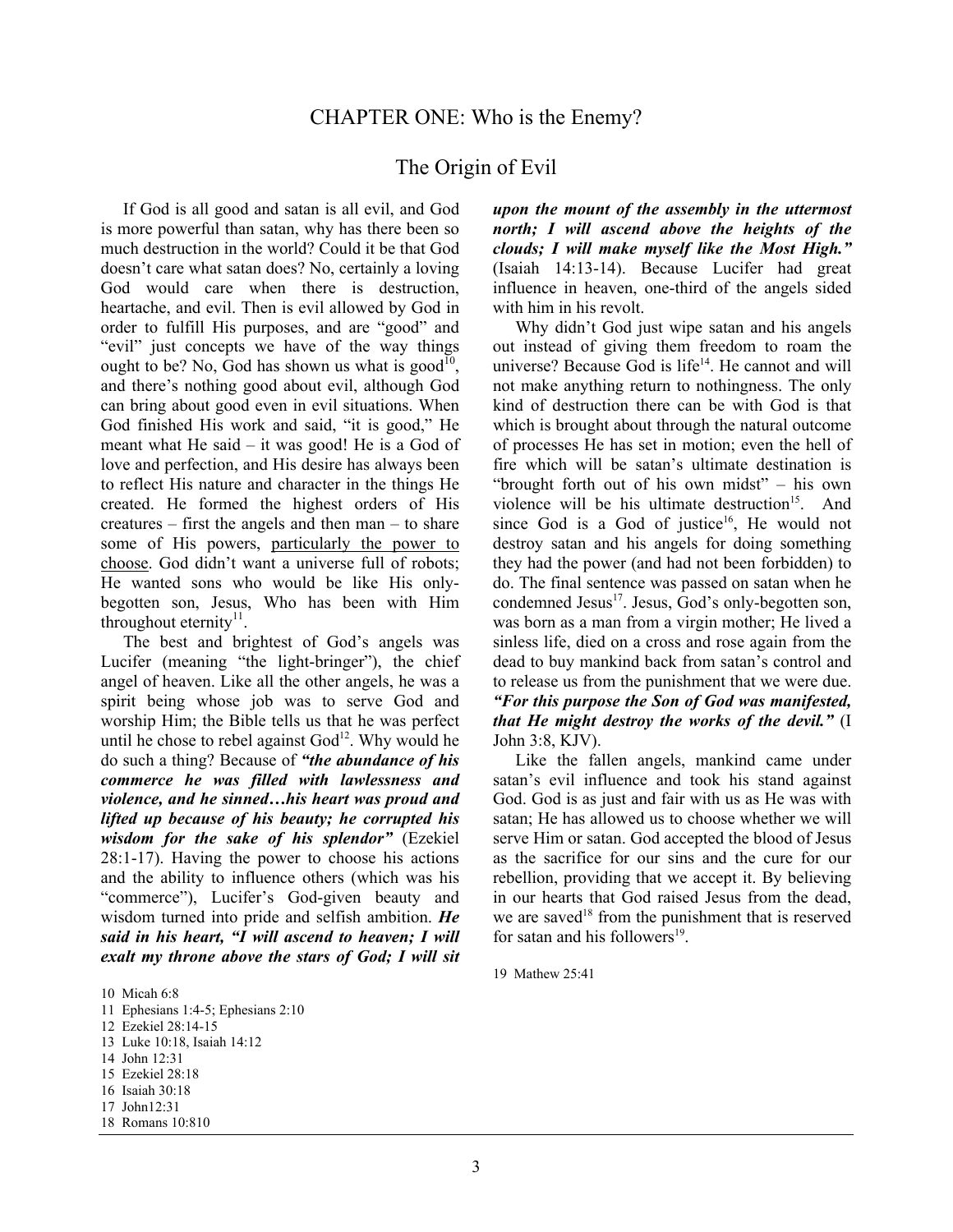#### The Origin of Evil

 If God is all good and satan is all evil, and God is more powerful than satan, why has there been so much destruction in the world? Could it be that God doesn't care what satan does? No, certainly a loving God would care when there is destruction, heartache, and evil. Then is evil allowed by God in order to fulfill His purposes, and are "good" and "evil" just concepts we have of the way things ought to be? No, God has shown us what is good<sup>10</sup>, and there's nothing good about evil, although God can bring about good even in evil situations. When God finished His work and said, "it is good," He meant what He said – it was good! He is a God of love and perfection, and His desire has always been to reflect His nature and character in the things He created. He formed the highest orders of His creatures – first the angels and then man – to share some of His powers, particularly the power to choose. God didn't want a universe full of robots; He wanted sons who would be like His onlybegotten son, Jesus, Who has been with Him throughout eternity $\mathbf{I}^{\mathrm{I}}$ .

 The best and brightest of God's angels was Lucifer (meaning "the light-bringer"), the chief angel of heaven. Like all the other angels, he was a spirit being whose job was to serve God and worship Him; the Bible tells us that he was perfect until he chose to rebel against  $God<sup>12</sup>$ . Why would he do such a thing? Because of *"the abundance of his commerce he was filled with lawlessness and violence, and he sinned…his heart was proud and lifted up because of his beauty; he corrupted his wisdom for the sake of his splendor"* (Ezekiel 28:1-17). Having the power to choose his actions and the ability to influence others (which was his "commerce"), Lucifer's God-given beauty and wisdom turned into pride and selfish ambition. *He said in his heart, "I will ascend to heaven; I will exalt my throne above the stars of God; I will sit* 

12 Ezekiel 28:14-15

*upon the mount of the assembly in the uttermost north; I will ascend above the heights of the clouds; I will make myself like the Most High."* (Isaiah 14:13-14). Because Lucifer had great influence in heaven, one-third of the angels sided with him in his revolt.

 Why didn't God just wipe satan and his angels out instead of giving them freedom to roam the universe? Because God is  $life<sup>14</sup>$ . He cannot and will not make anything return to nothingness. The only kind of destruction there can be with God is that which is brought about through the natural outcome of processes He has set in motion; even the hell of fire which will be satan's ultimate destination is "brought forth out of his own midst" – his own violence will be his ultimate destruction<sup>15</sup>. And since God is a God of justice<sup>16</sup>, He would not destroy satan and his angels for doing something they had the power (and had not been forbidden) to do. The final sentence was passed on satan when he condemned Jesus $^{17}$ . Jesus,  $\tilde{G}$ od's only-begotten son, was born as a man from a virgin mother; He lived a sinless life, died on a cross and rose again from the dead to buy mankind back from satan's control and to release us from the punishment that we were due. *"For this purpose the Son of God was manifested, that He might destroy the works of the devil."* (I John 3:8, KJV).

 Like the fallen angels, mankind came under satan's evil influence and took his stand against God. God is as just and fair with us as He was with satan; He has allowed us to choose whether we will serve Him or satan. God accepted the blood of Jesus as the sacrifice for our sins and the cure for our rebellion, providing that we accept it. By believing in our hearts that God raised Jesus from the dead, we are saved<sup>18</sup> from the punishment that is reserved for satan and his followers $^{19}$ .

19 Mathew 25:41

<sup>10</sup> Micah 6:8

<sup>11</sup> Ephesians 1:4-5; Ephesians 2:10

<sup>13</sup> Luke 10:18, Isaiah 14:12

<sup>14</sup> John 12:31

<sup>15</sup> Ezekiel 28:18

<sup>16</sup> Isaiah 30:18

<sup>17</sup> John12:31

<sup>18</sup> Romans 10:810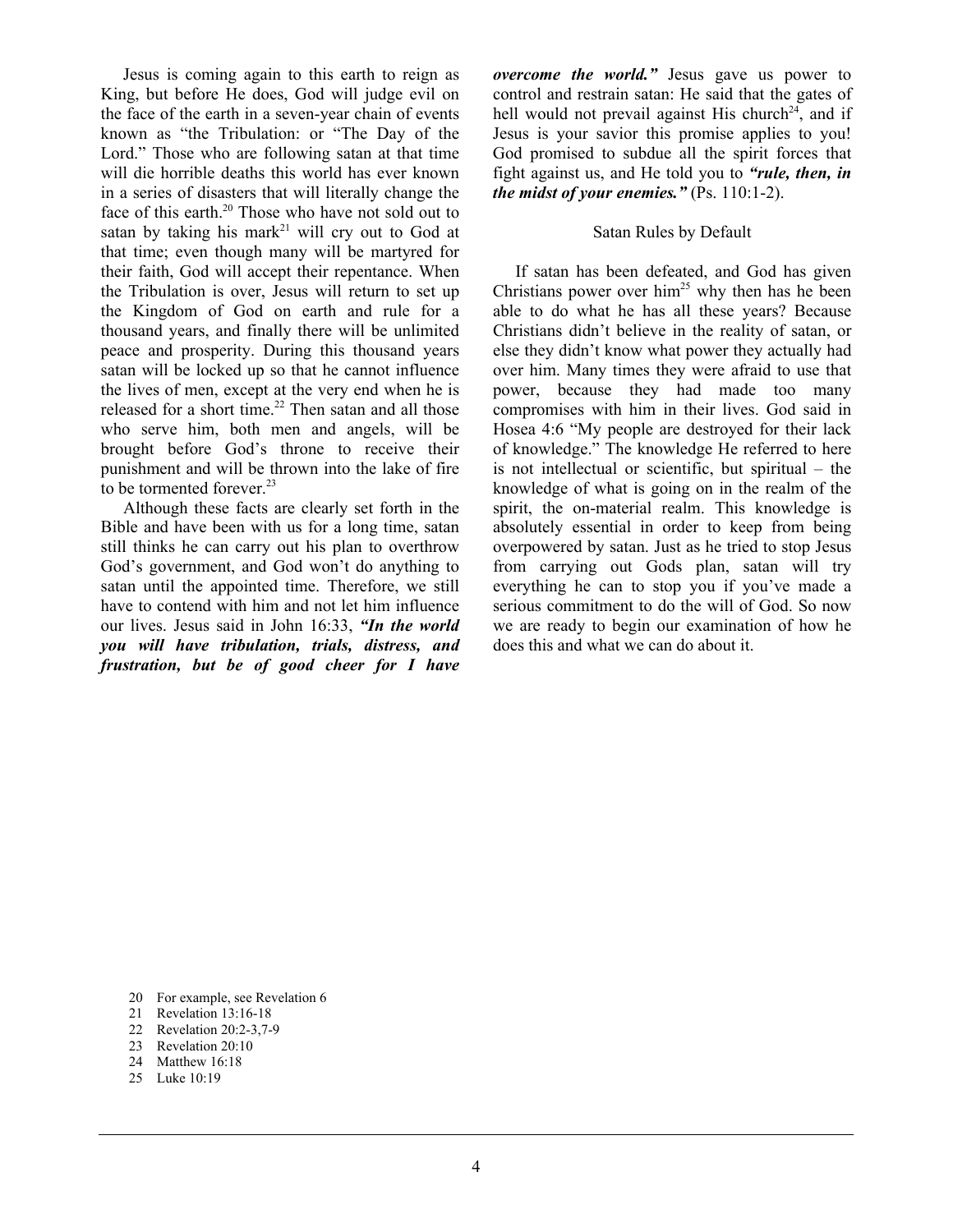Jesus is coming again to this earth to reign as King, but before He does, God will judge evil on the face of the earth in a seven-year chain of events known as "the Tribulation: or "The Day of the Lord." Those who are following satan at that time will die horrible deaths this world has ever known in a series of disasters that will literally change the face of this earth.<sup>20</sup> Those who have not sold out to satan by taking his mark<sup>21</sup> will cry out to God at that time; even though many will be martyred for their faith, God will accept their repentance. When the Tribulation is over, Jesus will return to set up the Kingdom of God on earth and rule for a thousand years, and finally there will be unlimited peace and prosperity. During this thousand years satan will be locked up so that he cannot influence the lives of men, except at the very end when he is released for a short time.<sup>22</sup> Then satan and all those who serve him, both men and angels, will be brought before God's throne to receive their punishment and will be thrown into the lake of fire to be tormented forever.<sup>23</sup>

 Although these facts are clearly set forth in the Bible and have been with us for a long time, satan still thinks he can carry out his plan to overthrow God's government, and God won't do anything to satan until the appointed time. Therefore, we still have to contend with him and not let him influence our lives. Jesus said in John 16:33, *"In the world you will have tribulation, trials, distress, and frustration, but be of good cheer for I have*  *overcome the world."* Jesus gave us power to control and restrain satan: He said that the gates of hell would not prevail against His church<sup>24</sup>, and if Jesus is your savior this promise applies to you! God promised to subdue all the spirit forces that fight against us, and He told you to *"rule, then, in the midst of your enemies."* (Ps. 110:1-2).

#### Satan Rules by Default

 If satan has been defeated, and God has given Christians power over  $\lim^{25}$  why then has he been able to do what he has all these years? Because Christians didn't believe in the reality of satan, or else they didn't know what power they actually had over him. Many times they were afraid to use that power, because they had made too many compromises with him in their lives. God said in Hosea 4:6 "My people are destroyed for their lack of knowledge." The knowledge He referred to here is not intellectual or scientific, but spiritual – the knowledge of what is going on in the realm of the spirit, the on-material realm. This knowledge is absolutely essential in order to keep from being overpowered by satan. Just as he tried to stop Jesus from carrying out Gods plan, satan will try everything he can to stop you if you've made a serious commitment to do the will of God. So now we are ready to begin our examination of how he does this and what we can do about it.

- 20 For example, see Revelation 6
- 21 Revelation 13:16-18
- 22 Revelation 20:2-3,7-9<br>23 Revelation 20:10
- Revelation 20:10
- 24 Matthew 16:18
- 25 Luke 10:19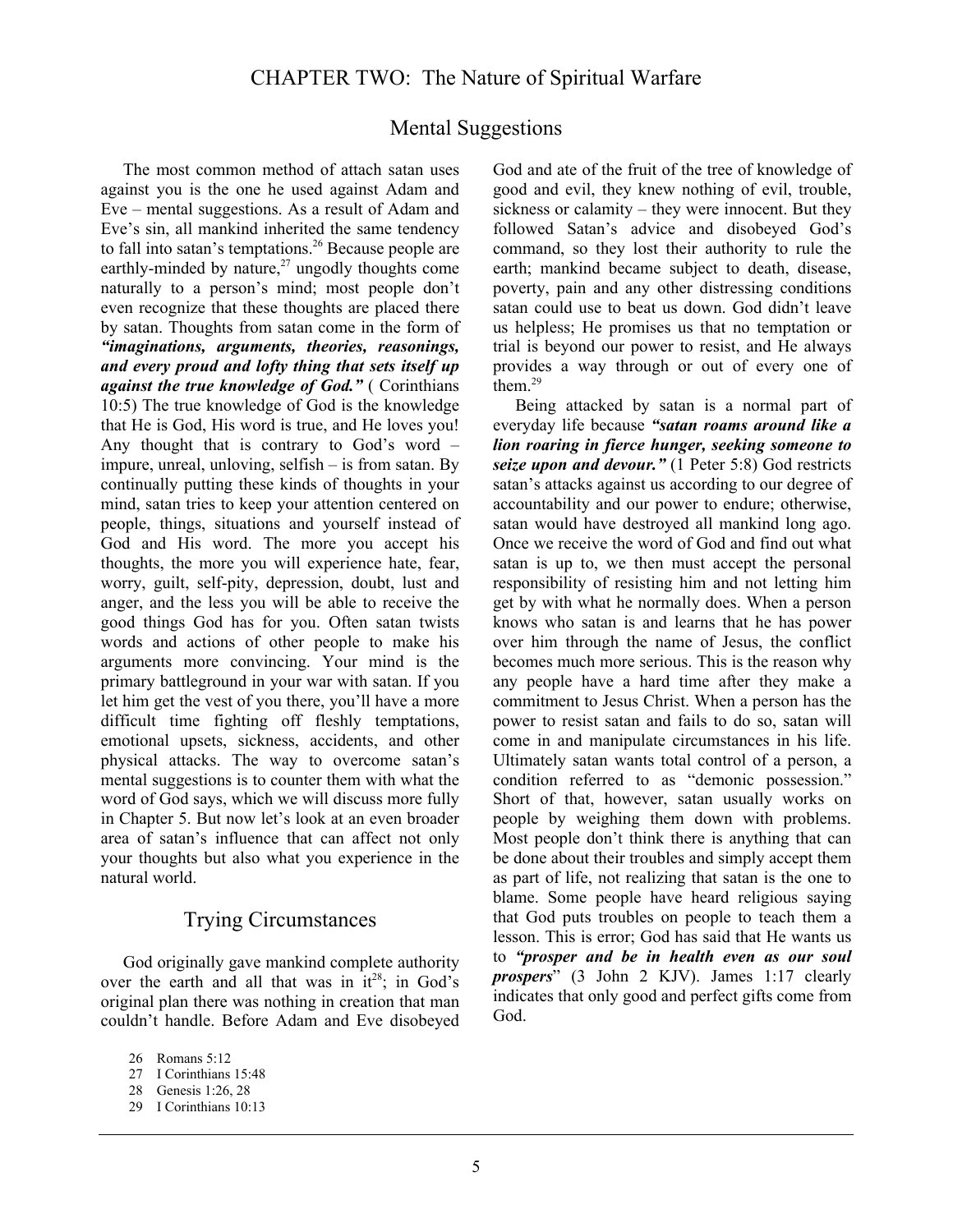## Mental Suggestions

 The most common method of attach satan uses against you is the one he used against Adam and Eve – mental suggestions. As a result of Adam and Eve's sin, all mankind inherited the same tendency to fall into satan's temptations.<sup>26</sup> Because people are earthly-minded by nature, $27 \text{ ungodly thought}$  come naturally to a person's mind; most people don't even recognize that these thoughts are placed there by satan. Thoughts from satan come in the form of *"imaginations, arguments, theories, reasonings, and every proud and lofty thing that sets itself up against the true knowledge of God."* ( Corinthians 10:5) The true knowledge of God is the knowledge that He is God, His word is true, and He loves you! Any thought that is contrary to God's word – impure, unreal, unloving, selfish – is from satan. By continually putting these kinds of thoughts in your mind, satan tries to keep your attention centered on people, things, situations and yourself instead of God and His word. The more you accept his thoughts, the more you will experience hate, fear, worry, guilt, self-pity, depression, doubt, lust and anger, and the less you will be able to receive the good things God has for you. Often satan twists words and actions of other people to make his arguments more convincing. Your mind is the primary battleground in your war with satan. If you let him get the vest of you there, you'll have a more difficult time fighting off fleshly temptations, emotional upsets, sickness, accidents, and other physical attacks. The way to overcome satan's mental suggestions is to counter them with what the word of God says, which we will discuss more fully in Chapter 5. But now let's look at an even broader area of satan's influence that can affect not only your thoughts but also what you experience in the natural world.

#### Trying Circumstances

 God originally gave mankind complete authority over the earth and all that was in  $it^{28}$ ; in God's original plan there was nothing in creation that man couldn't handle. Before Adam and Eve disobeyed

28 Genesis 1:26, 28

God and ate of the fruit of the tree of knowledge of good and evil, they knew nothing of evil, trouble, sickness or calamity – they were innocent. But they followed Satan's advice and disobeyed God's command, so they lost their authority to rule the earth; mankind became subject to death, disease, poverty, pain and any other distressing conditions satan could use to beat us down. God didn't leave us helpless; He promises us that no temptation or trial is beyond our power to resist, and He always provides a way through or out of every one of them.<sup>29</sup>

 Being attacked by satan is a normal part of everyday life because *"satan roams around like a lion roaring in fierce hunger, seeking someone to seize upon and devour."* (1 Peter 5:8) God restricts satan's attacks against us according to our degree of accountability and our power to endure; otherwise, satan would have destroyed all mankind long ago. Once we receive the word of God and find out what satan is up to, we then must accept the personal responsibility of resisting him and not letting him get by with what he normally does. When a person knows who satan is and learns that he has power over him through the name of Jesus, the conflict becomes much more serious. This is the reason why any people have a hard time after they make a commitment to Jesus Christ. When a person has the power to resist satan and fails to do so, satan will come in and manipulate circumstances in his life. Ultimately satan wants total control of a person, a condition referred to as "demonic possession." Short of that, however, satan usually works on people by weighing them down with problems. Most people don't think there is anything that can be done about their troubles and simply accept them as part of life, not realizing that satan is the one to blame. Some people have heard religious saying that God puts troubles on people to teach them a lesson. This is error; God has said that He wants us to *"prosper and be in health even as our soul prospers*" (3 John 2 KJV). James 1:17 clearly indicates that only good and perfect gifts come from God.

<sup>26</sup> Romans 5:12

<sup>27</sup> I Corinthians 15:48

<sup>29</sup> I Corinthians 10:13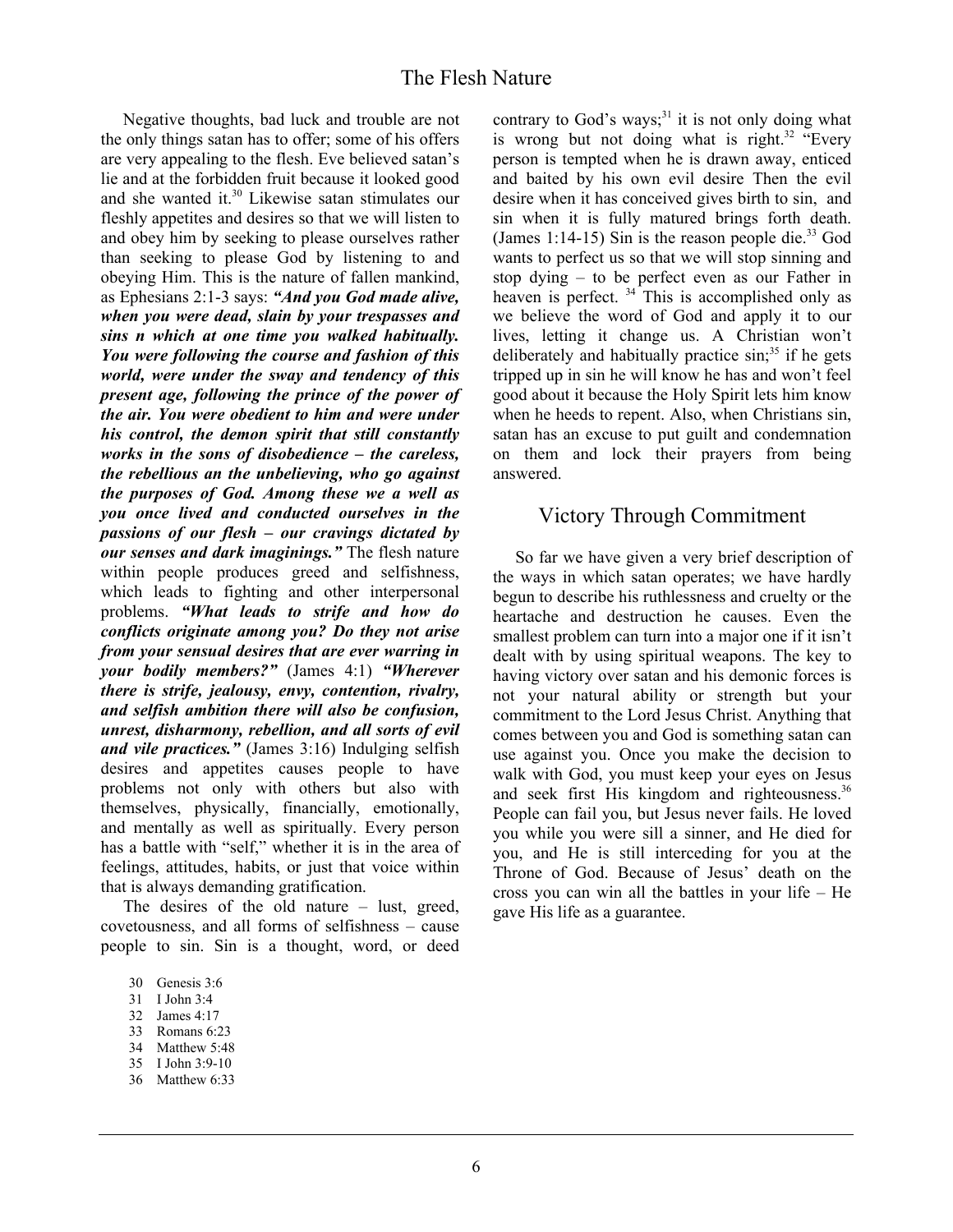Negative thoughts, bad luck and trouble are not the only things satan has to offer; some of his offers are very appealing to the flesh. Eve believed satan's lie and at the forbidden fruit because it looked good and she wanted it.<sup>30</sup> Likewise satan stimulates our fleshly appetites and desires so that we will listen to and obey him by seeking to please ourselves rather than seeking to please God by listening to and obeying Him. This is the nature of fallen mankind, as Ephesians 2:1-3 says: *"And you God made alive, when you were dead, slain by your trespasses and sins n which at one time you walked habitually. You were following the course and fashion of this world, were under the sway and tendency of this present age, following the prince of the power of the air. You were obedient to him and were under his control, the demon spirit that still constantly works in the sons of disobedience – the careless, the rebellious an the unbelieving, who go against the purposes of God. Among these we a well as you once lived and conducted ourselves in the passions of our flesh – our cravings dictated by our senses and dark imaginings."* The flesh nature within people produces greed and selfishness, which leads to fighting and other interpersonal problems. *"What leads to strife and how do conflicts originate among you? Do they not arise from your sensual desires that are ever warring in your bodily members?"* (James 4:1) *"Wherever there is strife, jealousy, envy, contention, rivalry, and selfish ambition there will also be confusion, unrest, disharmony, rebellion, and all sorts of evil and vile practices."* (James 3:16) Indulging selfish desires and appetites causes people to have problems not only with others but also with themselves, physically, financially, emotionally, and mentally as well as spiritually. Every person has a battle with "self," whether it is in the area of feelings, attitudes, habits, or just that voice within that is always demanding gratification.

 The desires of the old nature – lust, greed, covetousness, and all forms of selfishness – cause people to sin. Sin is a thought, word, or deed

- 31 I John 3:4
- 32 James 4:17
- 33 Romans 6:23
- 34 Matthew 5:48
- 35 I John 3:9-10
- 36 Matthew 6:33

contrary to God's ways; $31$  it is not only doing what is wrong but not doing what is right.<sup>32</sup> "Every person is tempted when he is drawn away, enticed and baited by his own evil desire Then the evil desire when it has conceived gives birth to sin, and sin when it is fully matured brings forth death. (James 1:14-15) Sin is the reason people die. $33$  God wants to perfect us so that we will stop sinning and stop dying – to be perfect even as our Father in heaven is perfect. <sup>34</sup> This is accomplished only as we believe the word of God and apply it to our lives, letting it change us. A Christian won't deliberately and habitually practice  $sin<sup>35</sup>$  if he gets tripped up in sin he will know he has and won't feel good about it because the Holy Spirit lets him know when he heeds to repent. Also, when Christians sin, satan has an excuse to put guilt and condemnation on them and lock their prayers from being answered.

#### Victory Through Commitment

 So far we have given a very brief description of the ways in which satan operates; we have hardly begun to describe his ruthlessness and cruelty or the heartache and destruction he causes. Even the smallest problem can turn into a major one if it isn't dealt with by using spiritual weapons. The key to having victory over satan and his demonic forces is not your natural ability or strength but your commitment to the Lord Jesus Christ. Anything that comes between you and God is something satan can use against you. Once you make the decision to walk with God, you must keep your eyes on Jesus and seek first His kingdom and righteousness.<sup>36</sup> People can fail you, but Jesus never fails. He loved you while you were sill a sinner, and He died for you, and He is still interceding for you at the Throne of God. Because of Jesus' death on the cross you can win all the battles in your life – He gave His life as a guarantee.

<sup>30</sup> Genesis 3:6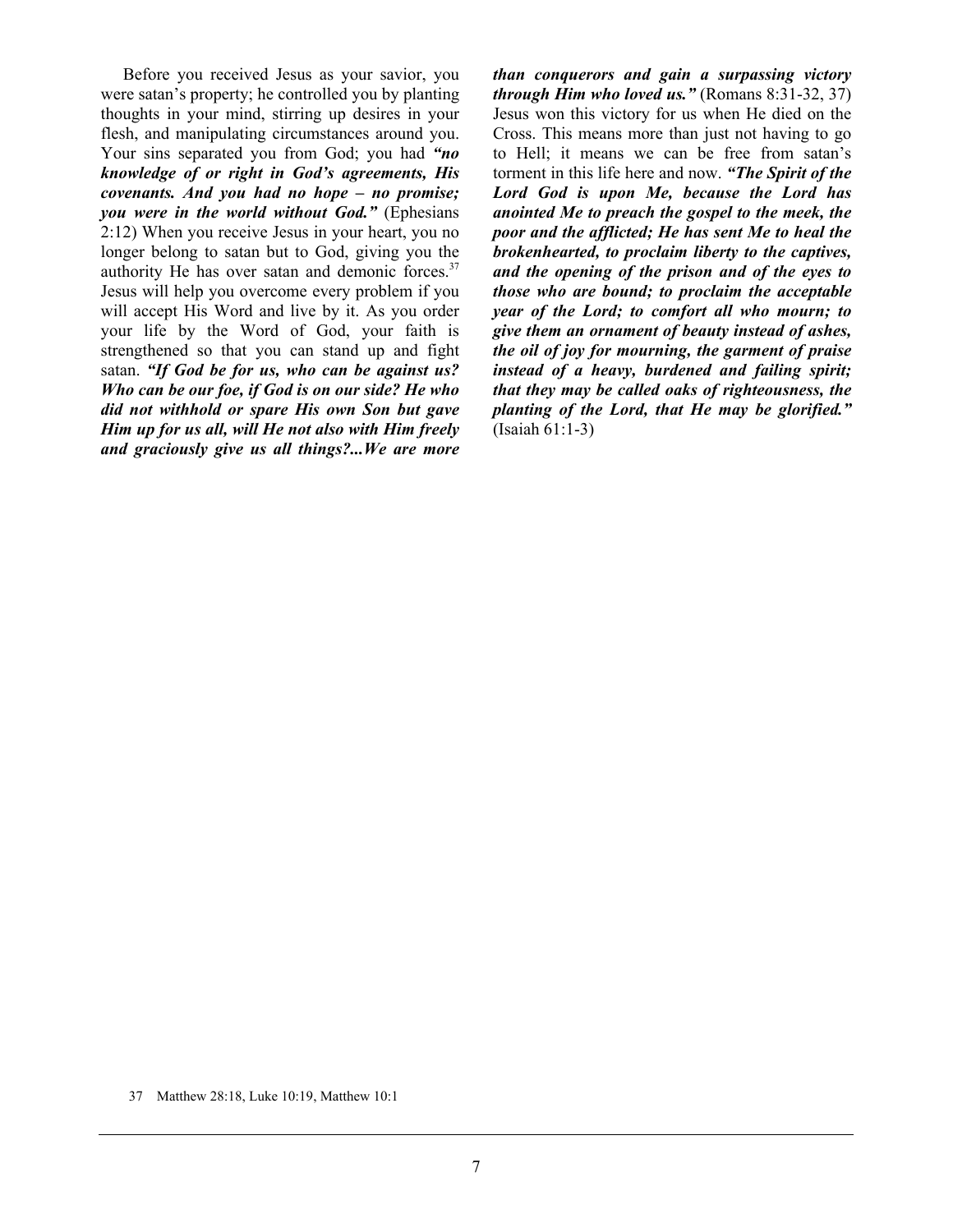Before you received Jesus as your savior, you were satan's property; he controlled you by planting thoughts in your mind, stirring up desires in your flesh, and manipulating circumstances around you. Your sins separated you from God; you had *"no knowledge of or right in God's agreements, His covenants. And you had no hope – no promise; you were in the world without God."* (Ephesians 2:12) When you receive Jesus in your heart, you no longer belong to satan but to God, giving you the authority He has over satan and demonic forces. $37$ Jesus will help you overcome every problem if you will accept His Word and live by it. As you order your life by the Word of God, your faith is strengthened so that you can stand up and fight satan. *"If God be for us, who can be against us? Who can be our foe, if God is on our side? He who did not withhold or spare His own Son but gave Him up for us all, will He not also with Him freely and graciously give us all things?...We are more*  *than conquerors and gain a surpassing victory through Him who loved us."* (Romans 8:31-32, 37) Jesus won this victory for us when He died on the Cross. This means more than just not having to go to Hell; it means we can be free from satan's torment in this life here and now. *"The Spirit of the Lord God is upon Me, because the Lord has anointed Me to preach the gospel to the meek, the poor and the afflicted; He has sent Me to heal the brokenhearted, to proclaim liberty to the captives, and the opening of the prison and of the eyes to those who are bound; to proclaim the acceptable year of the Lord; to comfort all who mourn; to give them an ornament of beauty instead of ashes, the oil of joy for mourning, the garment of praise instead of a heavy, burdened and failing spirit; that they may be called oaks of righteousness, the planting of the Lord, that He may be glorified."* (Isaiah 61:1-3)

37 Matthew 28:18, Luke 10:19, Matthew 10:1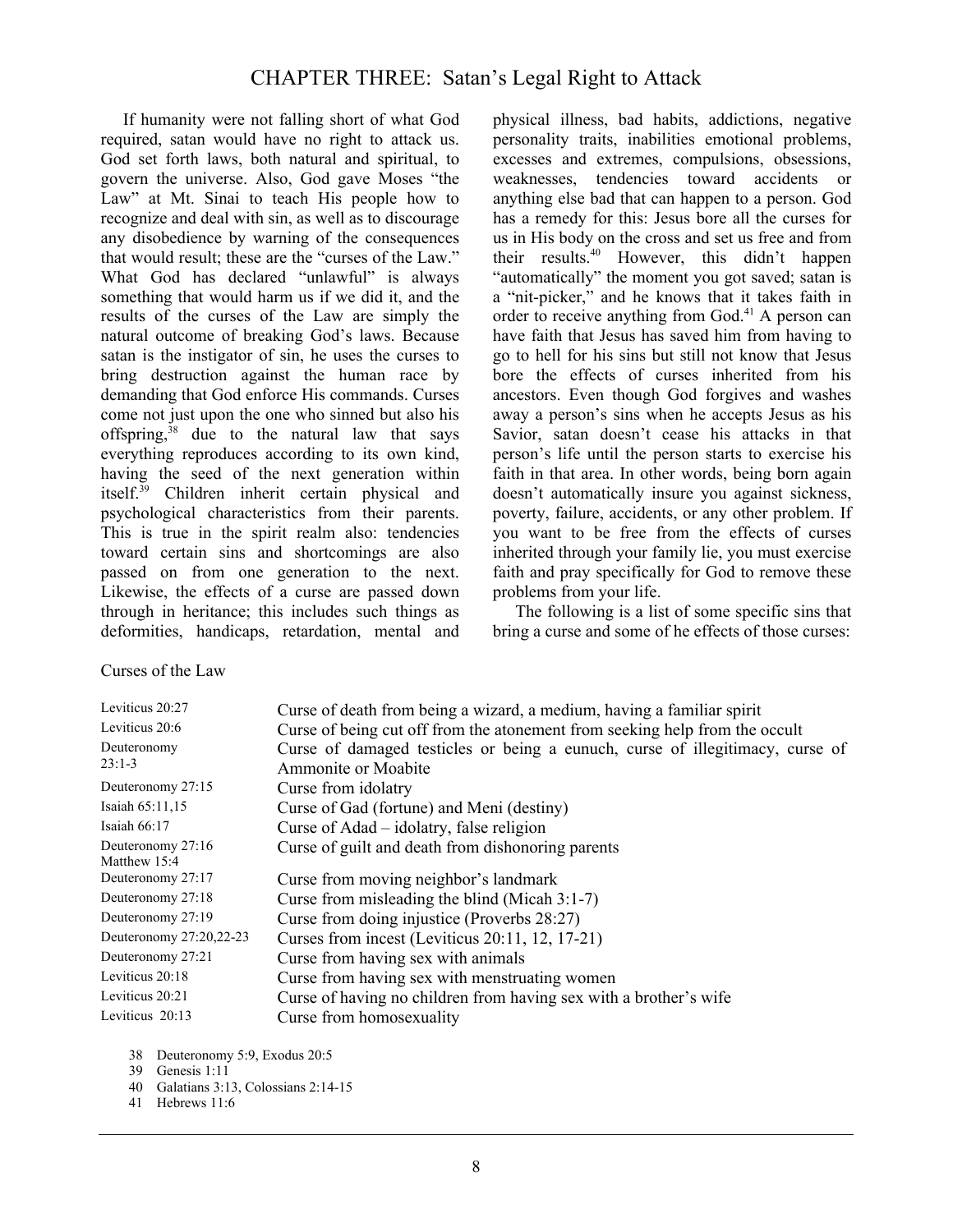## CHAPTER THREE: Satan's Legal Right to Attack

 If humanity were not falling short of what God required, satan would have no right to attack us. God set forth laws, both natural and spiritual, to govern the universe. Also, God gave Moses "the Law" at Mt. Sinai to teach His people how to recognize and deal with sin, as well as to discourage any disobedience by warning of the consequences that would result; these are the "curses of the Law." What God has declared "unlawful" is always something that would harm us if we did it, and the results of the curses of the Law are simply the natural outcome of breaking God's laws. Because satan is the instigator of sin, he uses the curses to bring destruction against the human race by demanding that God enforce His commands. Curses come not just upon the one who sinned but also his offspring,<sup>38</sup> due to the natural law that says everything reproduces according to its own kind, having the seed of the next generation within itself.39 Children inherit certain physical and psychological characteristics from their parents. This is true in the spirit realm also: tendencies toward certain sins and shortcomings are also passed on from one generation to the next. Likewise, the effects of a curse are passed down through in heritance; this includes such things as deformities, handicaps, retardation, mental and physical illness, bad habits, addictions, negative personality traits, inabilities emotional problems, excesses and extremes, compulsions, obsessions, weaknesses, tendencies toward accidents or anything else bad that can happen to a person. God has a remedy for this: Jesus bore all the curses for us in His body on the cross and set us free and from their results.40 However, this didn't happen "automatically" the moment you got saved; satan is a "nit-picker," and he knows that it takes faith in order to receive anything from God.<sup>41</sup> A person can have faith that Jesus has saved him from having to go to hell for his sins but still not know that Jesus bore the effects of curses inherited from his ancestors. Even though God forgives and washes away a person's sins when he accepts Jesus as his Savior, satan doesn't cease his attacks in that person's life until the person starts to exercise his faith in that area. In other words, being born again doesn't automatically insure you against sickness, poverty, failure, accidents, or any other problem. If you want to be free from the effects of curses inherited through your family lie, you must exercise faith and pray specifically for God to remove these problems from your life.

 The following is a list of some specific sins that bring a curse and some of he effects of those curses:

#### Curses of the Law

| Curse of death from being a wizard, a medium, having a familiar spirit                                      |
|-------------------------------------------------------------------------------------------------------------|
| Curse of being cut off from the atonement from seeking help from the occult                                 |
| Curse of damaged testicles or being a eunuch, curse of illegitimacy, curse of<br><b>Ammonite or Moabite</b> |
| Curse from idolatry                                                                                         |
| Curse of Gad (fortune) and Meni (destiny)                                                                   |
| Curse of Adad – idolatry, false religion                                                                    |
| Curse of guilt and death from dishonoring parents                                                           |
| Curse from moving neighbor's landmark                                                                       |
| Curse from misleading the blind (Micah $3:1-7$ )                                                            |
| Curse from doing injustice (Proverbs 28:27)                                                                 |
| Curses from incest (Leviticus 20:11, 12, 17-21)                                                             |
| Curse from having sex with animals                                                                          |
| Curse from having sex with menstruating women                                                               |
| Curse of having no children from having sex with a brother's wife                                           |
| Curse from homosexuality                                                                                    |
|                                                                                                             |

<sup>38</sup> Deuteronomy 5:9, Exodus 20:5

- 40 Galatians 3:13, Colossians 2:14-15
- 41 Hebrews 11:6

<sup>39</sup> Genesis 1:11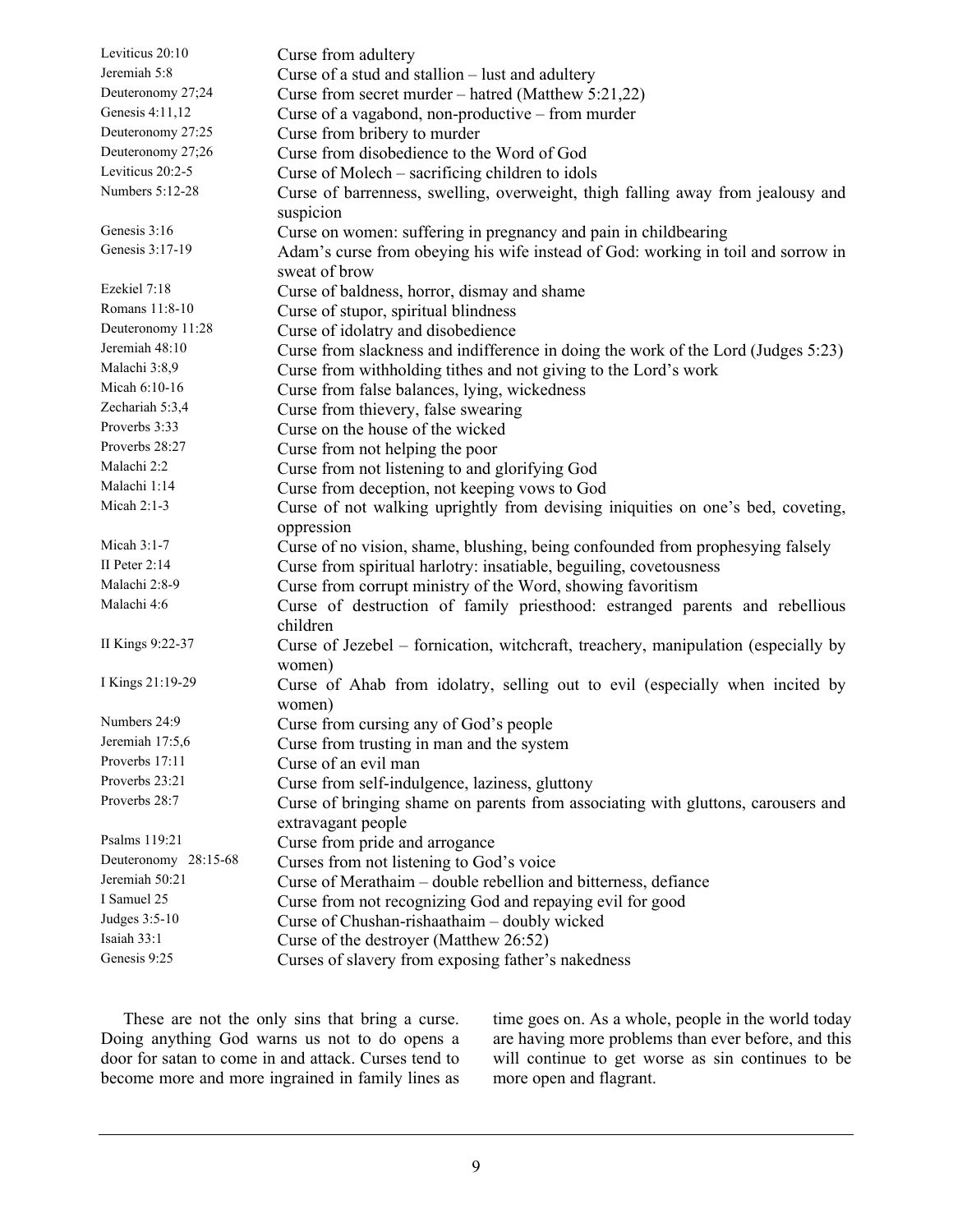| Leviticus 20:10      | Curse from adultery                                                                |
|----------------------|------------------------------------------------------------------------------------|
| Jeremiah 5:8         | Curse of a stud and stallion - lust and adultery                                   |
| Deuteronomy 27;24    | Curse from secret murder – hatred (Matthew 5:21,22)                                |
| Genesis 4:11,12      | Curse of a vagabond, non-productive - from murder                                  |
| Deuteronomy 27:25    | Curse from bribery to murder                                                       |
| Deuteronomy 27;26    | Curse from disobedience to the Word of God                                         |
| Leviticus 20:2-5     | Curse of Molech – sacrificing children to idols                                    |
| Numbers 5:12-28      | Curse of barrenness, swelling, overweight, thigh falling away from jealousy and    |
|                      | suspicion                                                                          |
| Genesis 3:16         | Curse on women: suffering in pregnancy and pain in childbearing                    |
| Genesis 3:17-19      | Adam's curse from obeying his wife instead of God: working in toil and sorrow in   |
|                      | sweat of brow                                                                      |
| Ezekiel 7:18         | Curse of baldness, horror, dismay and shame                                        |
| Romans 11:8-10       | Curse of stupor, spiritual blindness                                               |
| Deuteronomy 11:28    | Curse of idolatry and disobedience                                                 |
| Jeremiah 48:10       | Curse from slackness and indifference in doing the work of the Lord (Judges 5:23)  |
| Malachi 3:8,9        | Curse from withholding tithes and not giving to the Lord's work                    |
| Micah 6:10-16        | Curse from false balances, lying, wickedness                                       |
| Zechariah 5:3,4      | Curse from thievery, false swearing                                                |
| Proverbs 3:33        | Curse on the house of the wicked                                                   |
| Proverbs 28:27       | Curse from not helping the poor                                                    |
| Malachi 2:2          | Curse from not listening to and glorifying God                                     |
| Malachi 1:14         | Curse from deception, not keeping vows to God                                      |
| Micah $2:1-3$        | Curse of not walking uprightly from devising iniquities on one's bed, coveting,    |
|                      | oppression                                                                         |
| Micah 3:1-7          | Curse of no vision, shame, blushing, being confounded from prophesying falsely     |
| II Peter 2:14        | Curse from spiritual harlotry: insatiable, beguiling, covetousness                 |
| Malachi 2:8-9        | Curse from corrupt ministry of the Word, showing favoritism                        |
| Malachi 4:6          | Curse of destruction of family priesthood: estranged parents and rebellious        |
|                      | children                                                                           |
| II Kings 9:22-37     | Curse of Jezebel – fornication, witchcraft, treachery, manipulation (especially by |
|                      | women)                                                                             |
| I Kings 21:19-29     | Curse of Ahab from idolatry, selling out to evil (especially when incited by       |
|                      | women)                                                                             |
| Numbers 24:9         | Curse from cursing any of God's people                                             |
| Jeremiah 17:5,6      | Curse from trusting in man and the system                                          |
| Proverbs 17:11       | Curse of an evil man                                                               |
| Proverbs 23:21       | Curse from self-indulgence, laziness, gluttony                                     |
| Proverbs 28:7        | Curse of bringing shame on parents from associating with gluttons, carousers and   |
|                      | extravagant people                                                                 |
| Psalms 119:21        | Curse from pride and arrogance                                                     |
| Deuteronomy 28:15-68 | Curses from not listening to God's voice                                           |
| Jeremiah 50:21       | Curse of Merathaim – double rebellion and bitterness, defiance                     |
| I Samuel 25          | Curse from not recognizing God and repaying evil for good                          |
| Judges 3:5-10        | Curse of Chushan-rishaathaim – doubly wicked                                       |
| Isaiah 33:1          | Curse of the destroyer (Matthew 26:52)                                             |
| Genesis 9:25         | Curses of slavery from exposing father's nakedness                                 |
|                      |                                                                                    |

 These are not the only sins that bring a curse. Doing anything God warns us not to do opens a door for satan to come in and attack. Curses tend to become more and more ingrained in family lines as time goes on. As a whole, people in the world today are having more problems than ever before, and this will continue to get worse as sin continues to be more open and flagrant.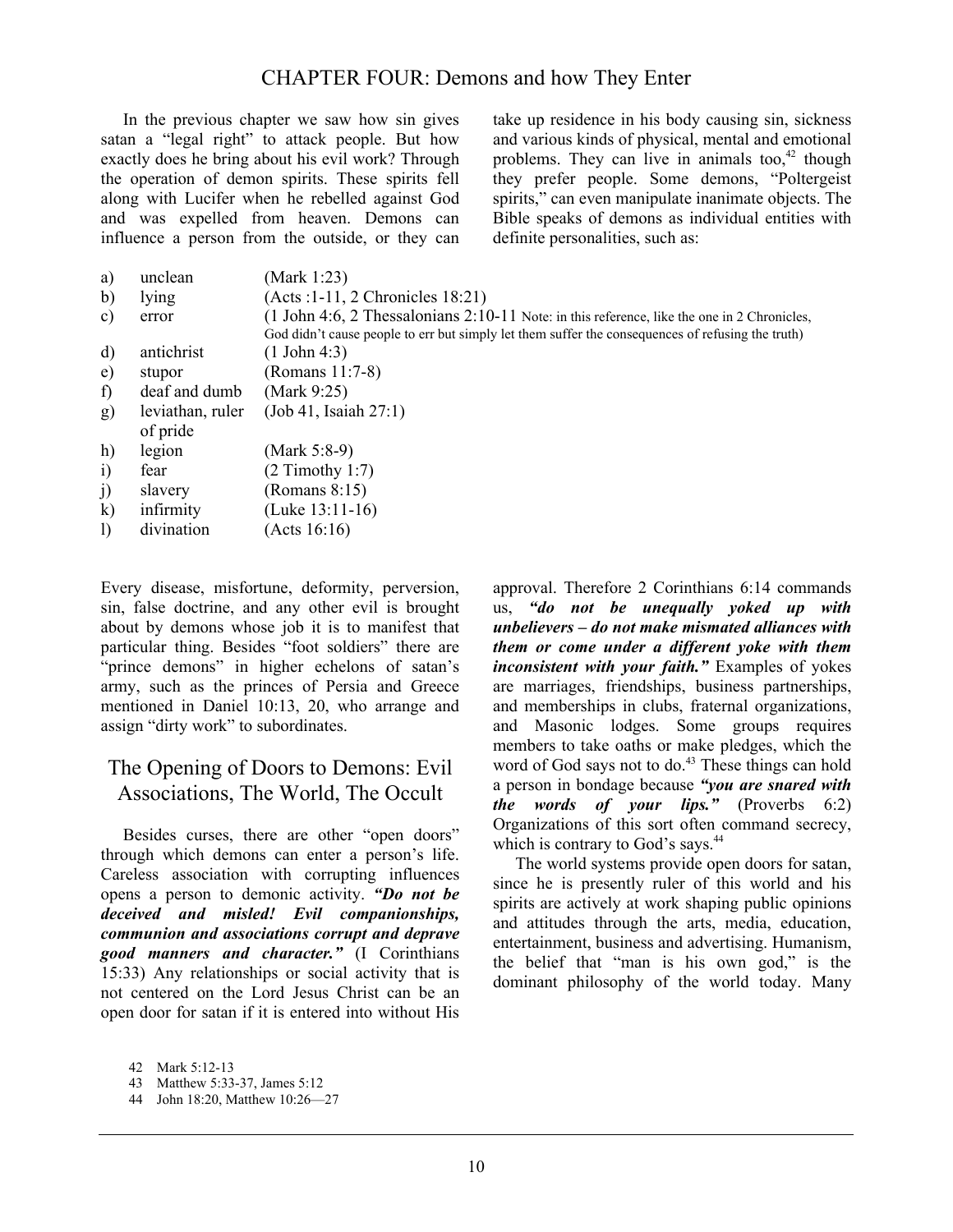## CHAPTER FOUR: Demons and how They Enter

 In the previous chapter we saw how sin gives satan a "legal right" to attack people. But how exactly does he bring about his evil work? Through the operation of demon spirits. These spirits fell along with Lucifer when he rebelled against God and was expelled from heaven. Demons can influence a person from the outside, or they can take up residence in his body causing sin, sickness and various kinds of physical, mental and emotional problems. They can live in animals too, $42$  though they prefer people. Some demons, "Poltergeist spirits," can even manipulate inanimate objects. The Bible speaks of demons as individual entities with definite personalities, such as:

| a)           | unclean                      | (Mark 1:23)                                                                                                                                                                                      |
|--------------|------------------------------|--------------------------------------------------------------------------------------------------------------------------------------------------------------------------------------------------|
| b)           | lying                        | (Acts : 1-11, 2 Chronicles 18:21)                                                                                                                                                                |
| C)           | error                        | (1 John 4:6, 2 Thessalonians 2:10-11 Note: in this reference, like the one in 2 Chronicles,<br>God didn't cause people to err but simply let them suffer the consequences of refusing the truth) |
| d)           | antichrist                   | $(1$ John 4:3)                                                                                                                                                                                   |
| e)           | stupor                       | (Romans 11:7-8)                                                                                                                                                                                  |
| f)           | deaf and dumb                | (Mark 9:25)                                                                                                                                                                                      |
| g)           | leviathan, ruler<br>of pride | (Job 41, Isaiah 27:1)                                                                                                                                                                            |
| h)           | legion                       | (Mark 5:8-9)                                                                                                                                                                                     |
| $\ddot{i}$   | fear                         | $(2$ Timothy 1:7)                                                                                                                                                                                |
| j)           | slavery                      | (Romans 8:15)                                                                                                                                                                                    |
| $\bf k$      | infirmity                    | $(Luke 13:11-16)$                                                                                                                                                                                |
| $\mathbf{I}$ | divination                   | (Acts 16:16)                                                                                                                                                                                     |

Every disease, misfortune, deformity, perversion, sin, false doctrine, and any other evil is brought about by demons whose job it is to manifest that particular thing. Besides "foot soldiers" there are "prince demons" in higher echelons of satan's army, such as the princes of Persia and Greece mentioned in Daniel 10:13, 20, who arrange and assign "dirty work" to subordinates.

# The Opening of Doors to Demons: Evil Associations, The World, The Occult

 Besides curses, there are other "open doors" through which demons can enter a person's life. Careless association with corrupting influences opens a person to demonic activity. *"Do not be deceived and misled! Evil companionships, communion and associations corrupt and deprave good manners and character."* (I Corinthians 15:33) Any relationships or social activity that is not centered on the Lord Jesus Christ can be an open door for satan if it is entered into without His

approval. Therefore 2 Corinthians 6:14 commands us, *"do not be unequally yoked up with unbelievers – do not make mismated alliances with them or come under a different yoke with them inconsistent with your faith."* Examples of yokes are marriages, friendships, business partnerships, and memberships in clubs, fraternal organizations, and Masonic lodges. Some groups requires members to take oaths or make pledges, which the word of God says not to do.<sup>43</sup> These things can hold a person in bondage because *"you are snared with the words of your lips."* (Proverbs 6:2) Organizations of this sort often command secrecy, which is contrary to God's says.<sup>44</sup>

 The world systems provide open doors for satan, since he is presently ruler of this world and his spirits are actively at work shaping public opinions and attitudes through the arts, media, education, entertainment, business and advertising. Humanism, the belief that "man is his own god," is the dominant philosophy of the world today. Many

<sup>42</sup> Mark 5:12-13

<sup>43</sup> Matthew 5:33-37, James 5:12

<sup>44</sup> John 18:20, Matthew 10:26—27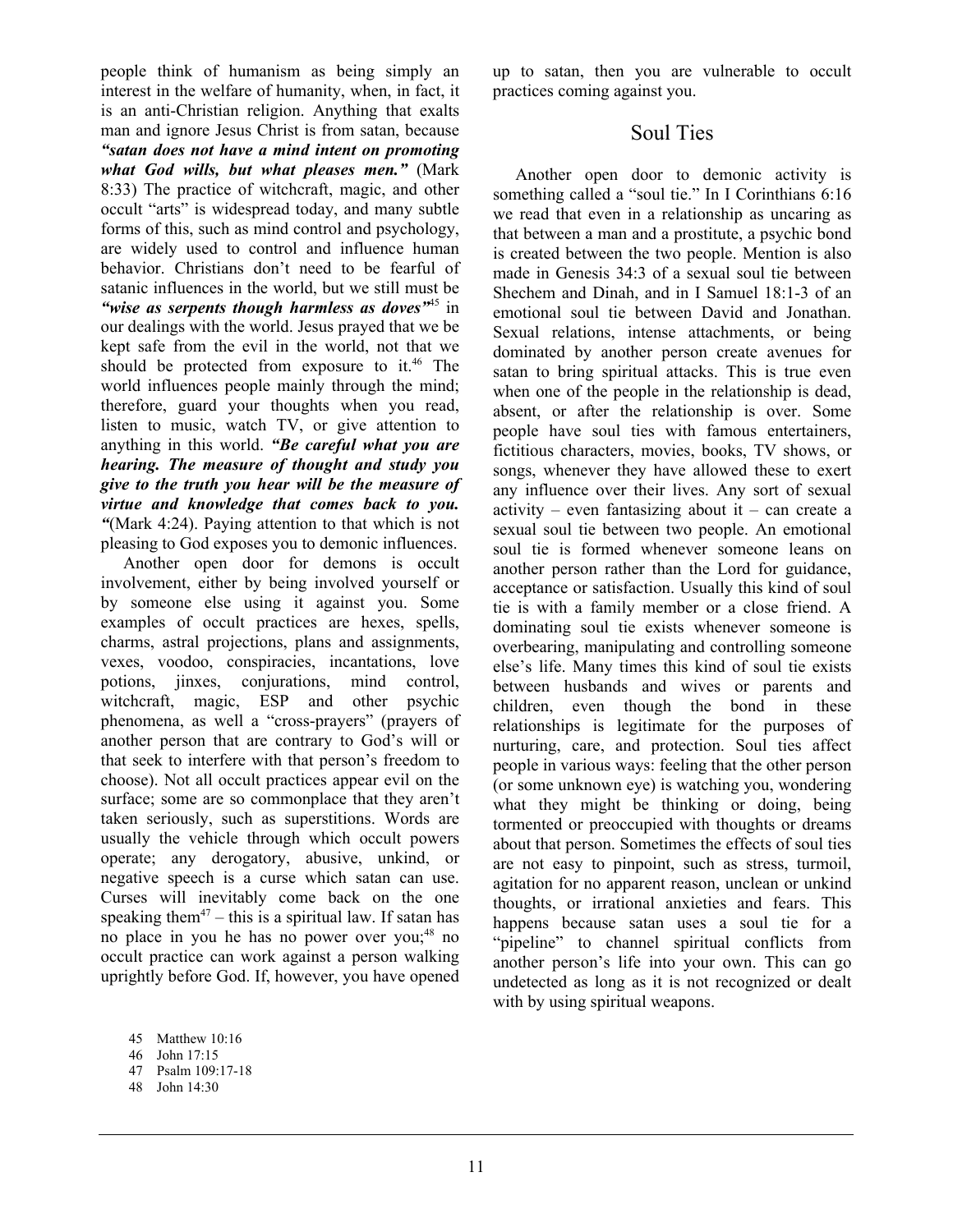people think of humanism as being simply an interest in the welfare of humanity, when, in fact, it is an anti-Christian religion. Anything that exalts man and ignore Jesus Christ is from satan, because *"satan does not have a mind intent on promoting what God wills, but what pleases men."* (Mark 8:33) The practice of witchcraft, magic, and other occult "arts" is widespread today, and many subtle forms of this, such as mind control and psychology, are widely used to control and influence human behavior. Christians don't need to be fearful of satanic influences in the world, but we still must be *"wise as serpents though harmless as doves"*45 in our dealings with the world. Jesus prayed that we be kept safe from the evil in the world, not that we should be protected from exposure to it.<sup>46</sup> The world influences people mainly through the mind; therefore, guard your thoughts when you read, listen to music, watch TV, or give attention to anything in this world. *"Be careful what you are hearing. The measure of thought and study you give to the truth you hear will be the measure of virtue and knowledge that comes back to you. "*(Mark 4:24). Paying attention to that which is not pleasing to God exposes you to demonic influences.

 Another open door for demons is occult involvement, either by being involved yourself or by someone else using it against you. Some examples of occult practices are hexes, spells, charms, astral projections, plans and assignments, vexes, voodoo, conspiracies, incantations, love potions, jinxes, conjurations, mind control, witchcraft, magic, ESP and other psychic phenomena, as well a "cross-prayers" (prayers of another person that are contrary to God's will or that seek to interfere with that person's freedom to choose). Not all occult practices appear evil on the surface; some are so commonplace that they aren't taken seriously, such as superstitions. Words are usually the vehicle through which occult powers operate; any derogatory, abusive, unkind, or negative speech is a curse which satan can use. Curses will inevitably come back on the one speaking them<sup>47</sup> – this is a spiritual law. If satan has no place in you he has no power over you;<sup>48</sup> no occult practice can work against a person walking uprightly before God. If, however, you have opened up to satan, then you are vulnerable to occult practices coming against you.

## Soul Ties

 Another open door to demonic activity is something called a "soul tie." In I Corinthians 6:16 we read that even in a relationship as uncaring as that between a man and a prostitute, a psychic bond is created between the two people. Mention is also made in Genesis 34:3 of a sexual soul tie between Shechem and Dinah, and in I Samuel 18:1-3 of an emotional soul tie between David and Jonathan. Sexual relations, intense attachments, or being dominated by another person create avenues for satan to bring spiritual attacks. This is true even when one of the people in the relationship is dead, absent, or after the relationship is over. Some people have soul ties with famous entertainers, fictitious characters, movies, books, TV shows, or songs, whenever they have allowed these to exert any influence over their lives. Any sort of sexual  $\arcsin y - \arccos z$  fantasizing about it – can create a sexual soul tie between two people. An emotional soul tie is formed whenever someone leans on another person rather than the Lord for guidance, acceptance or satisfaction. Usually this kind of soul tie is with a family member or a close friend. A dominating soul tie exists whenever someone is overbearing, manipulating and controlling someone else's life. Many times this kind of soul tie exists between husbands and wives or parents and children, even though the bond in these relationships is legitimate for the purposes of nurturing, care, and protection. Soul ties affect people in various ways: feeling that the other person (or some unknown eye) is watching you, wondering what they might be thinking or doing, being tormented or preoccupied with thoughts or dreams about that person. Sometimes the effects of soul ties are not easy to pinpoint, such as stress, turmoil, agitation for no apparent reason, unclean or unkind thoughts, or irrational anxieties and fears. This happens because satan uses a soul tie for a "pipeline" to channel spiritual conflicts from another person's life into your own. This can go undetected as long as it is not recognized or dealt with by using spiritual weapons.

<sup>45</sup> Matthew 10:16

<sup>46</sup> John 17:15

<sup>47</sup> Psalm 109:17-18

<sup>48</sup> John 14:30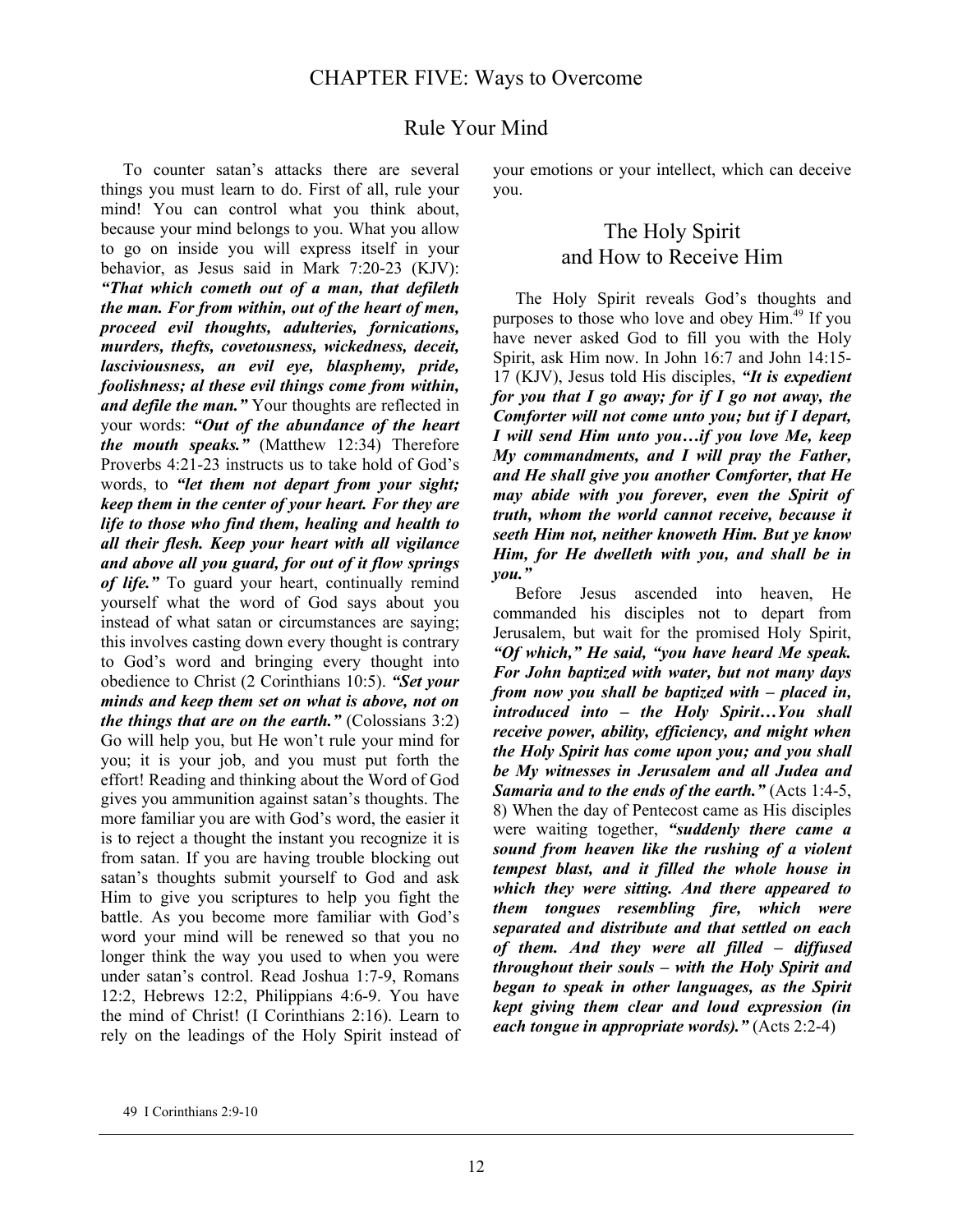## Rule Your Mind

 To counter satan's attacks there are several things you must learn to do. First of all, rule your mind! You can control what you think about, because your mind belongs to you. What you allow to go on inside you will express itself in your behavior, as Jesus said in Mark 7:20-23 (KJV): *"That which cometh out of a man, that defileth the man. For from within, out of the heart of men, proceed evil thoughts, adulteries, fornications, murders, thefts, covetousness, wickedness, deceit, lasciviousness, an evil eye, blasphemy, pride, foolishness; al these evil things come from within, and defile the man."* Your thoughts are reflected in your words: *"Out of the abundance of the heart the mouth speaks."* (Matthew 12:34) Therefore Proverbs 4:21-23 instructs us to take hold of God's words, to *"let them not depart from your sight; keep them in the center of your heart. For they are life to those who find them, healing and health to all their flesh. Keep your heart with all vigilance and above all you guard, for out of it flow springs of life."* To guard your heart, continually remind yourself what the word of God says about you instead of what satan or circumstances are saying; this involves casting down every thought is contrary to God's word and bringing every thought into obedience to Christ (2 Corinthians 10:5). *"Set your minds and keep them set on what is above, not on the things that are on the earth."* (Colossians 3:2) Go will help you, but He won't rule your mind for you; it is your job, and you must put forth the effort! Reading and thinking about the Word of God gives you ammunition against satan's thoughts. The more familiar you are with God's word, the easier it is to reject a thought the instant you recognize it is from satan. If you are having trouble blocking out satan's thoughts submit yourself to God and ask Him to give you scriptures to help you fight the battle. As you become more familiar with God's word your mind will be renewed so that you no longer think the way you used to when you were under satan's control. Read Joshua 1:7-9, Romans 12:2, Hebrews 12:2, Philippians 4:6-9. You have the mind of Christ! (I Corinthians 2:16). Learn to rely on the leadings of the Holy Spirit instead of your emotions or your intellect, which can deceive you.

## The Holy Spirit and How to Receive Him

 The Holy Spirit reveals God's thoughts and purposes to those who love and obey Him.49 If you have never asked God to fill you with the Holy Spirit, ask Him now. In John 16:7 and John 14:15- 17 (KJV), Jesus told His disciples, *"It is expedient for you that I go away; for if I go not away, the Comforter will not come unto you; but if I depart, I will send Him unto you…if you love Me, keep My commandments, and I will pray the Father, and He shall give you another Comforter, that He may abide with you forever, even the Spirit of truth, whom the world cannot receive, because it seeth Him not, neither knoweth Him. But ye know Him, for He dwelleth with you, and shall be in you."*

Before Jesus ascended into heaven, He commanded his disciples not to depart from Jerusalem, but wait for the promised Holy Spirit, *"Of which," He said, "you have heard Me speak. For John baptized with water, but not many days from now you shall be baptized with – placed in, introduced into – the Holy Spirit…You shall receive power, ability, efficiency, and might when the Holy Spirit has come upon you; and you shall be My witnesses in Jerusalem and all Judea and Samaria and to the ends of the earth."* (Acts 1:4-5, 8) When the day of Pentecost came as His disciples were waiting together, *"suddenly there came a sound from heaven like the rushing of a violent tempest blast, and it filled the whole house in which they were sitting. And there appeared to them tongues resembling fire, which were separated and distribute and that settled on each of them. And they were all filled – diffused throughout their souls – with the Holy Spirit and began to speak in other languages, as the Spirit kept giving them clear and loud expression (in each tongue in appropriate words)."* (Acts 2:2-4)

<sup>49</sup> I Corinthians 2:9-10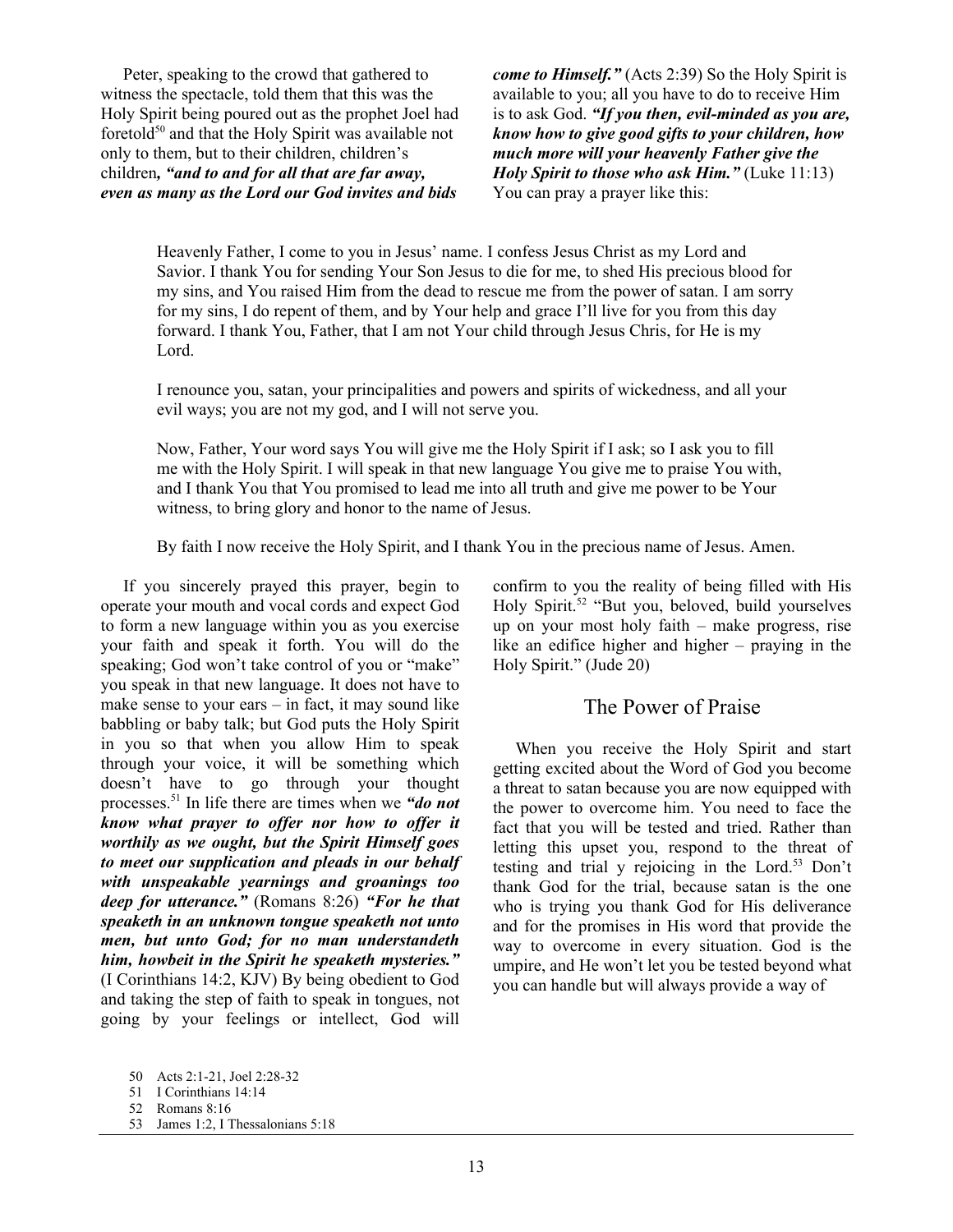Peter, speaking to the crowd that gathered to witness the spectacle, told them that this was the Holy Spirit being poured out as the prophet Joel had foretold<sup>50</sup> and that the Holy Spirit was available not only to them, but to their children, children's children*, "and to and for all that are far away, even as many as the Lord our God invites and bids* 

*come to Himself.*" (Acts 2:39) So the Holy Spirit is available to you; all you have to do to receive Him is to ask God. *"If you then, evil-minded as you are, know how to give good gifts to your children, how much more will your heavenly Father give the Holy Spirit to those who ask Him."* (Luke 11:13) You can pray a prayer like this:

Heavenly Father, I come to you in Jesus' name. I confess Jesus Christ as my Lord and Savior. I thank You for sending Your Son Jesus to die for me, to shed His precious blood for my sins, and You raised Him from the dead to rescue me from the power of satan. I am sorry for my sins, I do repent of them, and by Your help and grace I'll live for you from this day forward. I thank You, Father, that I am not Your child through Jesus Chris, for He is my Lord.

I renounce you, satan, your principalities and powers and spirits of wickedness, and all your evil ways; you are not my god, and I will not serve you.

Now, Father, Your word says You will give me the Holy Spirit if I ask; so I ask you to fill me with the Holy Spirit. I will speak in that new language You give me to praise You with, and I thank You that You promised to lead me into all truth and give me power to be Your witness, to bring glory and honor to the name of Jesus.

By faith I now receive the Holy Spirit, and I thank You in the precious name of Jesus. Amen.

 If you sincerely prayed this prayer, begin to operate your mouth and vocal cords and expect God to form a new language within you as you exercise your faith and speak it forth. You will do the speaking; God won't take control of you or "make" you speak in that new language. It does not have to make sense to your ears – in fact, it may sound like babbling or baby talk; but God puts the Holy Spirit in you so that when you allow Him to speak through your voice, it will be something which doesn't have to go through your thought processes.51 In life there are times when we *"do not know what prayer to offer nor how to offer it worthily as we ought, but the Spirit Himself goes to meet our supplication and pleads in our behalf with unspeakable yearnings and groanings too deep for utterance."* (Romans 8:26) *"For he that speaketh in an unknown tongue speaketh not unto men, but unto God; for no man understandeth him, howbeit in the Spirit he speaketh mysteries."* (I Corinthians 14:2, KJV) By being obedient to God and taking the step of faith to speak in tongues, not going by your feelings or intellect, God will

confirm to you the reality of being filled with His Holy Spirit.<sup>52</sup> "But you, beloved, build yourselves up on your most holy faith – make progress, rise like an edifice higher and higher – praying in the Holy Spirit." (Jude 20)

#### The Power of Praise

 When you receive the Holy Spirit and start getting excited about the Word of God you become a threat to satan because you are now equipped with the power to overcome him. You need to face the fact that you will be tested and tried. Rather than letting this upset you, respond to the threat of testing and trial y rejoicing in the Lord.53 Don't thank God for the trial, because satan is the one who is trying you thank God for His deliverance and for the promises in His word that provide the way to overcome in every situation. God is the umpire, and He won't let you be tested beyond what you can handle but will always provide a way of

<sup>50</sup> Acts 2:1-21, Joel 2:28-32

<sup>51</sup> I Corinthians 14:14

<sup>52</sup> Romans 8:16

<sup>53</sup> James 1:2, I Thessalonians 5:18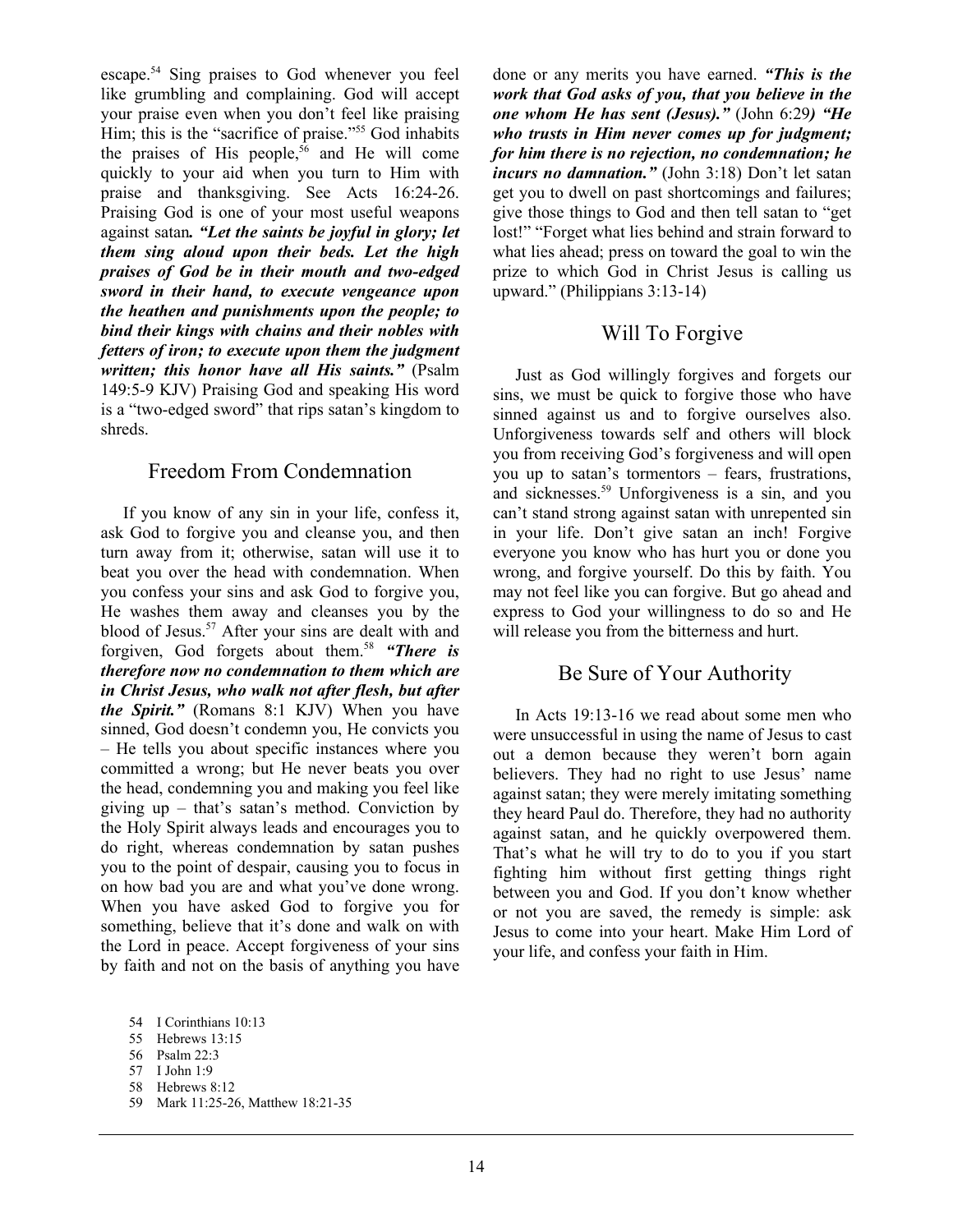escape.54 Sing praises to God whenever you feel like grumbling and complaining. God will accept your praise even when you don't feel like praising Him; this is the "sacrifice of praise."<sup>55</sup> God inhabits the praises of His people,<sup>56</sup> and He will come quickly to your aid when you turn to Him with praise and thanksgiving. See Acts 16:24-26. Praising God is one of your most useful weapons against satan*. "Let the saints be joyful in glory; let them sing aloud upon their beds. Let the high praises of God be in their mouth and two-edged sword in their hand, to execute vengeance upon the heathen and punishments upon the people; to bind their kings with chains and their nobles with fetters of iron; to execute upon them the judgment written; this honor have all His saints."* (Psalm 149:5-9 KJV) Praising God and speaking His word is a "two-edged sword" that rips satan's kingdom to shreds.

#### Freedom From Condemnation

 If you know of any sin in your life, confess it, ask God to forgive you and cleanse you, and then turn away from it; otherwise, satan will use it to beat you over the head with condemnation. When you confess your sins and ask God to forgive you, He washes them away and cleanses you by the blood of Jesus.<sup>57</sup> After your sins are dealt with and forgiven, God forgets about them.58 *"There is therefore now no condemnation to them which are in Christ Jesus, who walk not after flesh, but after the Spirit."* (Romans 8:1 KJV) When you have sinned, God doesn't condemn you, He convicts you – He tells you about specific instances where you committed a wrong; but He never beats you over the head, condemning you and making you feel like giving up – that's satan's method. Conviction by the Holy Spirit always leads and encourages you to do right, whereas condemnation by satan pushes you to the point of despair, causing you to focus in on how bad you are and what you've done wrong. When you have asked God to forgive you for something, believe that it's done and walk on with the Lord in peace. Accept forgiveness of your sins by faith and not on the basis of anything you have

58 Hebrews 8:12

done or any merits you have earned. *"This is the work that God asks of you, that you believe in the one whom He has sent (Jesus)."* (John 6:29*) "He who trusts in Him never comes up for judgment; for him there is no rejection, no condemnation; he incurs no damnation."* (John 3:18) Don't let satan get you to dwell on past shortcomings and failures; give those things to God and then tell satan to "get lost!" "Forget what lies behind and strain forward to what lies ahead; press on toward the goal to win the prize to which God in Christ Jesus is calling us upward." (Philippians 3:13-14)

#### Will To Forgive

 Just as God willingly forgives and forgets our sins, we must be quick to forgive those who have sinned against us and to forgive ourselves also. Unforgiveness towards self and others will block you from receiving God's forgiveness and will open you up to satan's tormentors – fears, frustrations, and sicknesses.59 Unforgiveness is a sin, and you can't stand strong against satan with unrepented sin in your life. Don't give satan an inch! Forgive everyone you know who has hurt you or done you wrong, and forgive yourself. Do this by faith. You may not feel like you can forgive. But go ahead and express to God your willingness to do so and He will release you from the bitterness and hurt.

#### Be Sure of Your Authority

 In Acts 19:13-16 we read about some men who were unsuccessful in using the name of Jesus to cast out a demon because they weren't born again believers. They had no right to use Jesus' name against satan; they were merely imitating something they heard Paul do. Therefore, they had no authority against satan, and he quickly overpowered them. That's what he will try to do to you if you start fighting him without first getting things right between you and God. If you don't know whether or not you are saved, the remedy is simple: ask Jesus to come into your heart. Make Him Lord of your life, and confess your faith in Him.

<sup>54</sup> I Corinthians 10:13

<sup>55</sup> Hebrews 13:15

<sup>56</sup> Psalm 22:3

<sup>57</sup> I John 1:9

<sup>59</sup> Mark 11:25-26, Matthew 18:21-35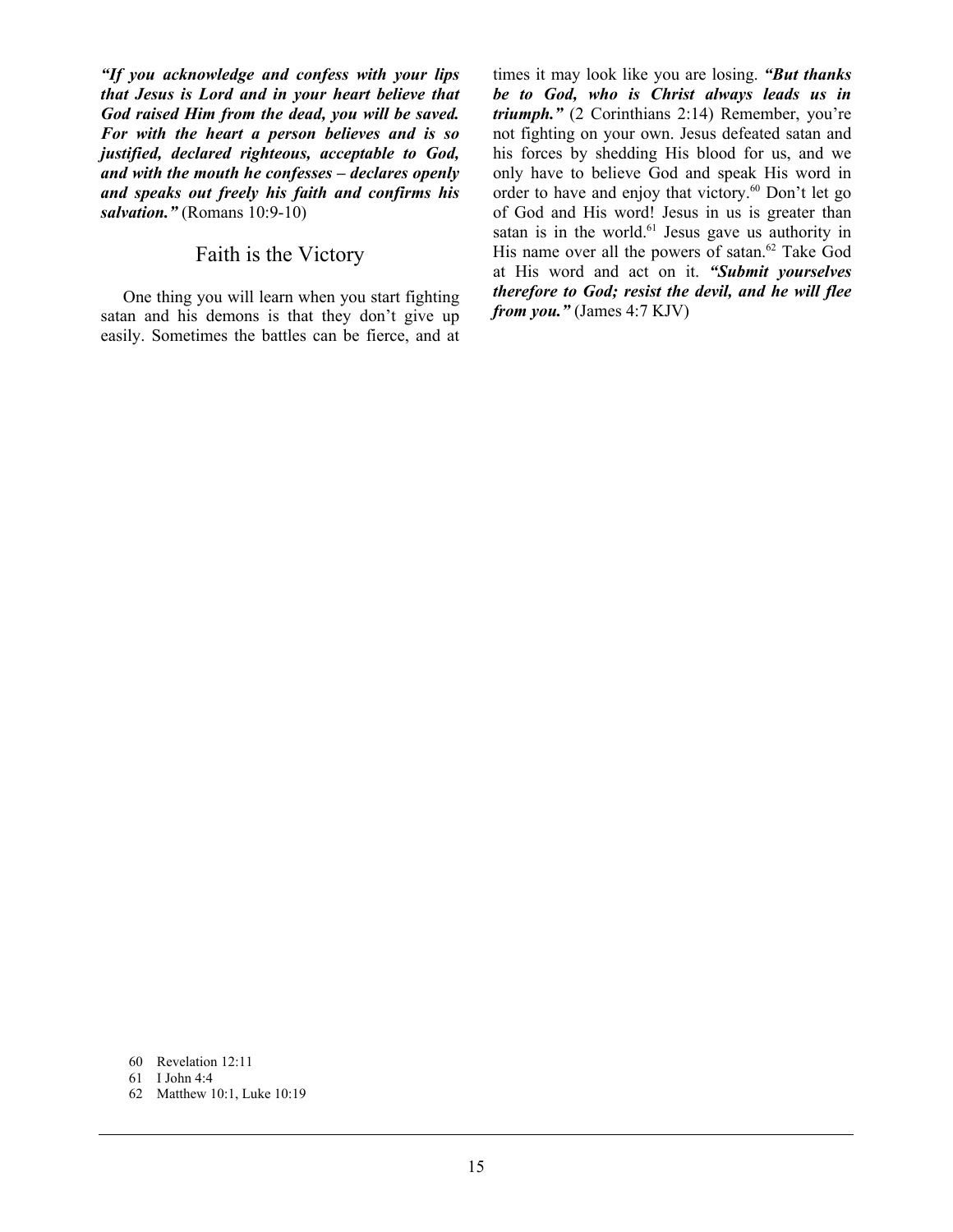*"If you acknowledge and confess with your lips that Jesus is Lord and in your heart believe that God raised Him from the dead, you will be saved. For with the heart a person believes and is so justified, declared righteous, acceptable to God, and with the mouth he confesses – declares openly and speaks out freely his faith and confirms his salvation."* (Romans 10:9-10)

## Faith is the Victory

 One thing you will learn when you start fighting satan and his demons is that they don't give up easily. Sometimes the battles can be fierce, and at

times it may look like you are losing. *"But thanks be to God, who is Christ always leads us in triumph."* (2 Corinthians 2:14) Remember, you're not fighting on your own. Jesus defeated satan and his forces by shedding His blood for us, and we only have to believe God and speak His word in order to have and enjoy that victory.<sup>60</sup> Don't let go of God and His word! Jesus in us is greater than satan is in the world. $61$  Jesus gave us authority in His name over all the powers of satan. $62$  Take God at His word and act on it. *"Submit yourselves therefore to God; resist the devil, and he will flee from you."* (James 4:7 KJV)

- 60 Revelation 12:11
- 61 I John 4:4
- 62 Matthew 10:1, Luke 10:19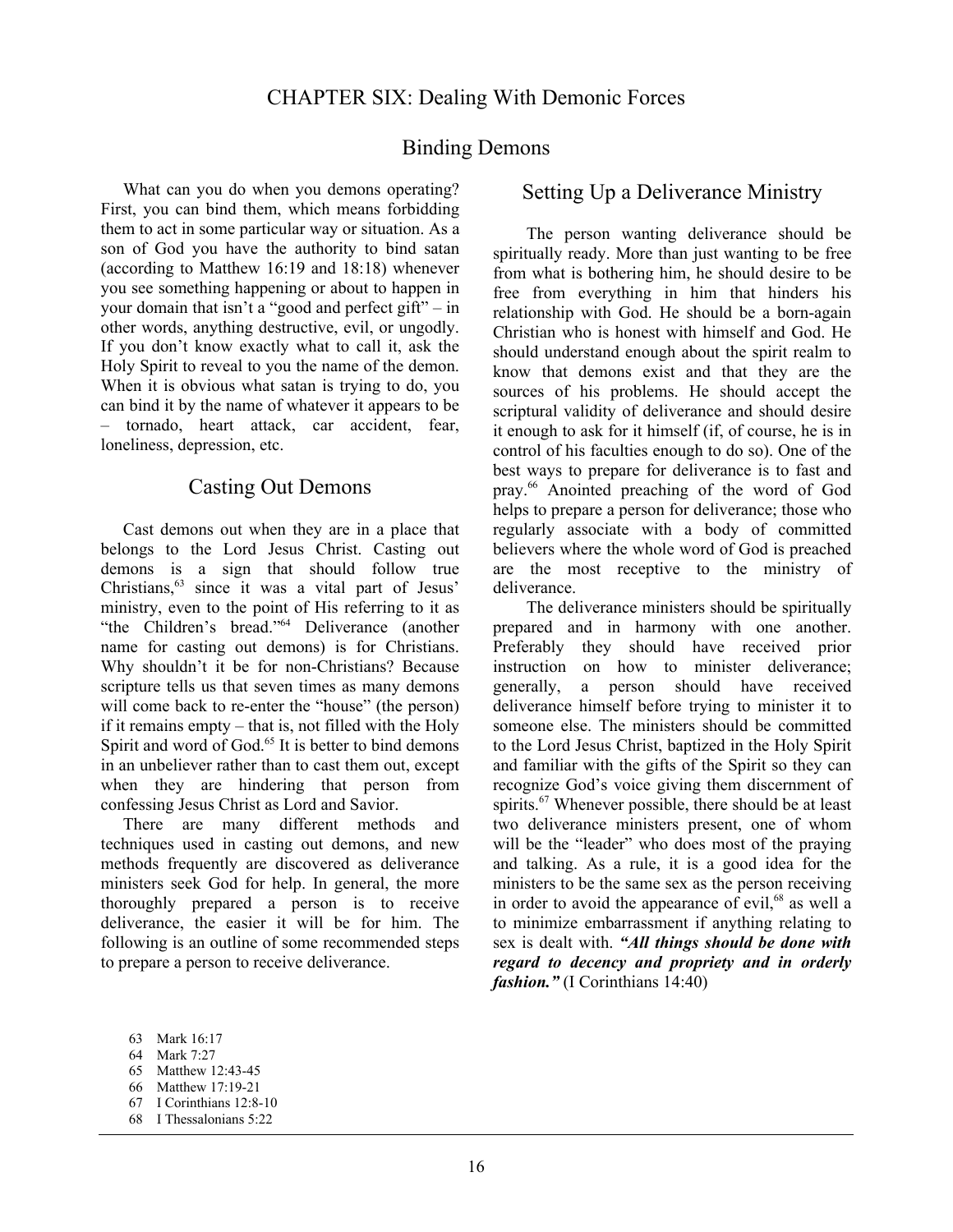#### Binding Demons

What can you do when you demons operating? First, you can bind them, which means forbidding them to act in some particular way or situation. As a son of God you have the authority to bind satan (according to Matthew 16:19 and 18:18) whenever you see something happening or about to happen in your domain that isn't a "good and perfect gift" – in other words, anything destructive, evil, or ungodly. If you don't know exactly what to call it, ask the Holy Spirit to reveal to you the name of the demon. When it is obvious what satan is trying to do, you can bind it by the name of whatever it appears to be – tornado, heart attack, car accident, fear, loneliness, depression, etc.

#### Casting Out Demons

 Cast demons out when they are in a place that belongs to the Lord Jesus Christ. Casting out demons is a sign that should follow true Christians,63 since it was a vital part of Jesus' ministry, even to the point of His referring to it as "the Children's bread."64 Deliverance (another name for casting out demons) is for Christians. Why shouldn't it be for non-Christians? Because scripture tells us that seven times as many demons will come back to re-enter the "house" (the person) if it remains empty – that is, not filled with the Holy Spirit and word of God.<sup>65</sup> It is better to bind demons in an unbeliever rather than to cast them out, except when they are hindering that person from confessing Jesus Christ as Lord and Savior.

 There are many different methods and techniques used in casting out demons, and new methods frequently are discovered as deliverance ministers seek God for help. In general, the more thoroughly prepared a person is to receive deliverance, the easier it will be for him. The following is an outline of some recommended steps to prepare a person to receive deliverance.

#### Setting Up a Deliverance Ministry

The person wanting deliverance should be spiritually ready. More than just wanting to be free from what is bothering him, he should desire to be free from everything in him that hinders his relationship with God. He should be a born-again Christian who is honest with himself and God. He should understand enough about the spirit realm to know that demons exist and that they are the sources of his problems. He should accept the scriptural validity of deliverance and should desire it enough to ask for it himself (if, of course, he is in control of his faculties enough to do so). One of the best ways to prepare for deliverance is to fast and pray.66 Anointed preaching of the word of God helps to prepare a person for deliverance; those who regularly associate with a body of committed believers where the whole word of God is preached are the most receptive to the ministry of deliverance.

The deliverance ministers should be spiritually prepared and in harmony with one another. Preferably they should have received prior instruction on how to minister deliverance; generally, a person should have received deliverance himself before trying to minister it to someone else. The ministers should be committed to the Lord Jesus Christ, baptized in the Holy Spirit and familiar with the gifts of the Spirit so they can recognize God's voice giving them discernment of spirits.<sup>67</sup> Whenever possible, there should be at least two deliverance ministers present, one of whom will be the "leader" who does most of the praying and talking. As a rule, it is a good idea for the ministers to be the same sex as the person receiving in order to avoid the appearance of evil, $68$  as well a to minimize embarrassment if anything relating to sex is dealt with. *"All things should be done with regard to decency and propriety and in orderly fashion."* (I Corinthians 14:40)

66 Matthew 17:19-21

<sup>63</sup> Mark 16:17

<sup>64</sup> Mark 7:27

<sup>65</sup> Matthew 12:43-45

<sup>67</sup> I Corinthians 12:8-10

<sup>68</sup> I Thessalonians 5:22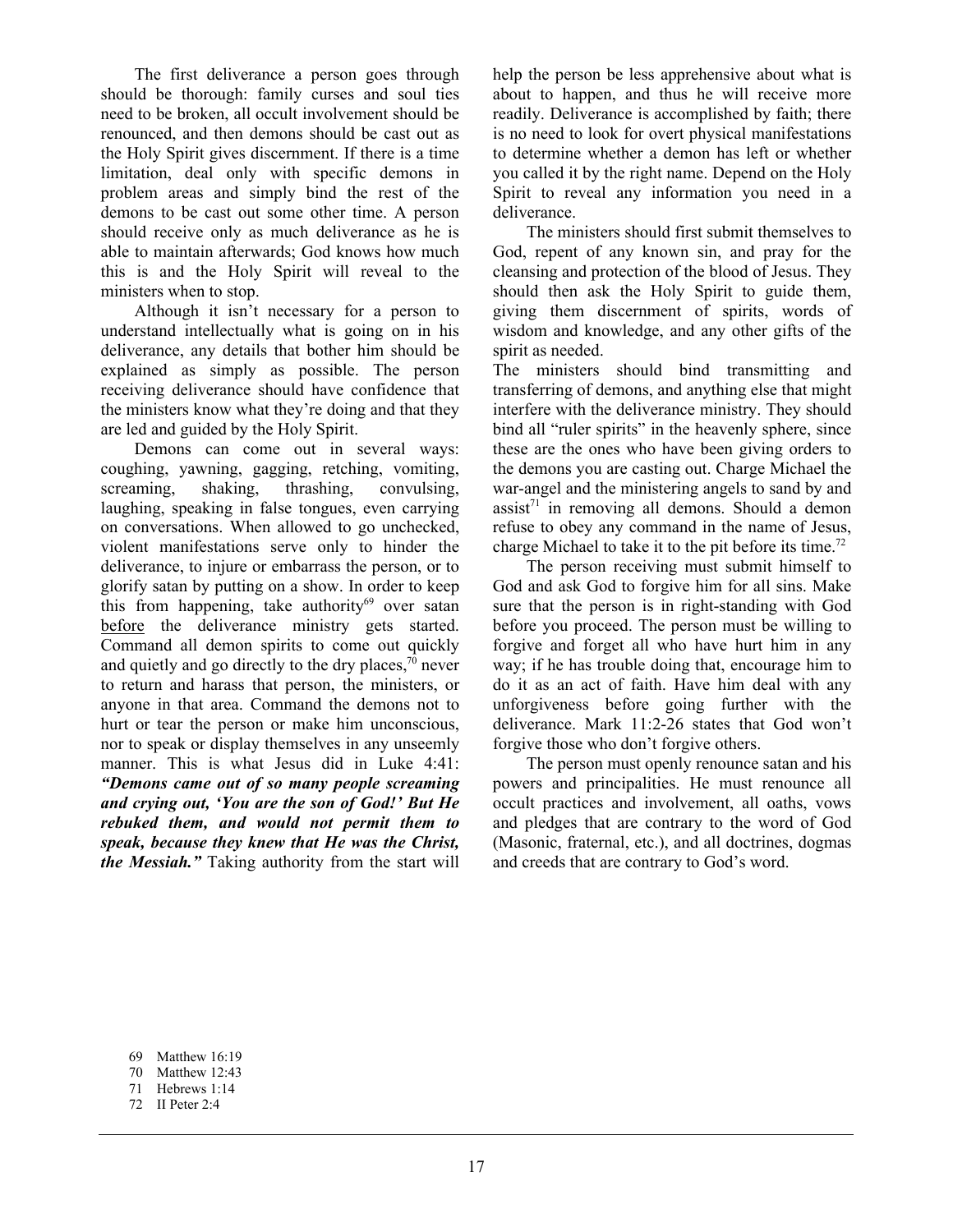The first deliverance a person goes through should be thorough: family curses and soul ties need to be broken, all occult involvement should be renounced, and then demons should be cast out as the Holy Spirit gives discernment. If there is a time limitation, deal only with specific demons in problem areas and simply bind the rest of the demons to be cast out some other time. A person should receive only as much deliverance as he is able to maintain afterwards; God knows how much this is and the Holy Spirit will reveal to the ministers when to stop.

Although it isn't necessary for a person to understand intellectually what is going on in his deliverance, any details that bother him should be explained as simply as possible. The person receiving deliverance should have confidence that the ministers know what they're doing and that they are led and guided by the Holy Spirit.

Demons can come out in several ways: coughing, yawning, gagging, retching, vomiting, screaming, shaking, thrashing, convulsing, laughing, speaking in false tongues, even carrying on conversations. When allowed to go unchecked, violent manifestations serve only to hinder the deliverance, to injure or embarrass the person, or to glorify satan by putting on a show. In order to keep this from happening, take authority $69$  over satan before the deliverance ministry gets started. Command all demon spirits to come out quickly and quietly and go directly to the dry places,  $\frac{70}{10}$  never to return and harass that person, the ministers, or anyone in that area. Command the demons not to hurt or tear the person or make him unconscious, nor to speak or display themselves in any unseemly manner. This is what Jesus did in Luke 4:41: *"Demons came out of so many people screaming and crying out, 'You are the son of God!' But He rebuked them, and would not permit them to speak, because they knew that He was the Christ, the Messiah."* Taking authority from the start will

help the person be less apprehensive about what is about to happen, and thus he will receive more readily. Deliverance is accomplished by faith; there is no need to look for overt physical manifestations to determine whether a demon has left or whether you called it by the right name. Depend on the Holy Spirit to reveal any information you need in a deliverance.

The ministers should first submit themselves to God, repent of any known sin, and pray for the cleansing and protection of the blood of Jesus. They should then ask the Holy Spirit to guide them, giving them discernment of spirits, words of wisdom and knowledge, and any other gifts of the spirit as needed.

The ministers should bind transmitting and transferring of demons, and anything else that might interfere with the deliverance ministry. They should bind all "ruler spirits" in the heavenly sphere, since these are the ones who have been giving orders to the demons you are casting out. Charge Michael the war-angel and the ministering angels to sand by and  $assist<sup>71</sup>$  in removing all demons. Should a demon refuse to obey any command in the name of Jesus, charge Michael to take it to the pit before its time.72

The person receiving must submit himself to God and ask God to forgive him for all sins. Make sure that the person is in right-standing with God before you proceed. The person must be willing to forgive and forget all who have hurt him in any way; if he has trouble doing that, encourage him to do it as an act of faith. Have him deal with any unforgiveness before going further with the deliverance. Mark 11:2-26 states that God won't forgive those who don't forgive others.

The person must openly renounce satan and his powers and principalities. He must renounce all occult practices and involvement, all oaths, vows and pledges that are contrary to the word of God (Masonic, fraternal, etc.), and all doctrines, dogmas and creeds that are contrary to God's word.

<sup>69</sup> Matthew 16:19

<sup>70</sup> Matthew 12:43

<sup>71</sup> Hebrews 1:14

<sup>72</sup> II Peter 2:4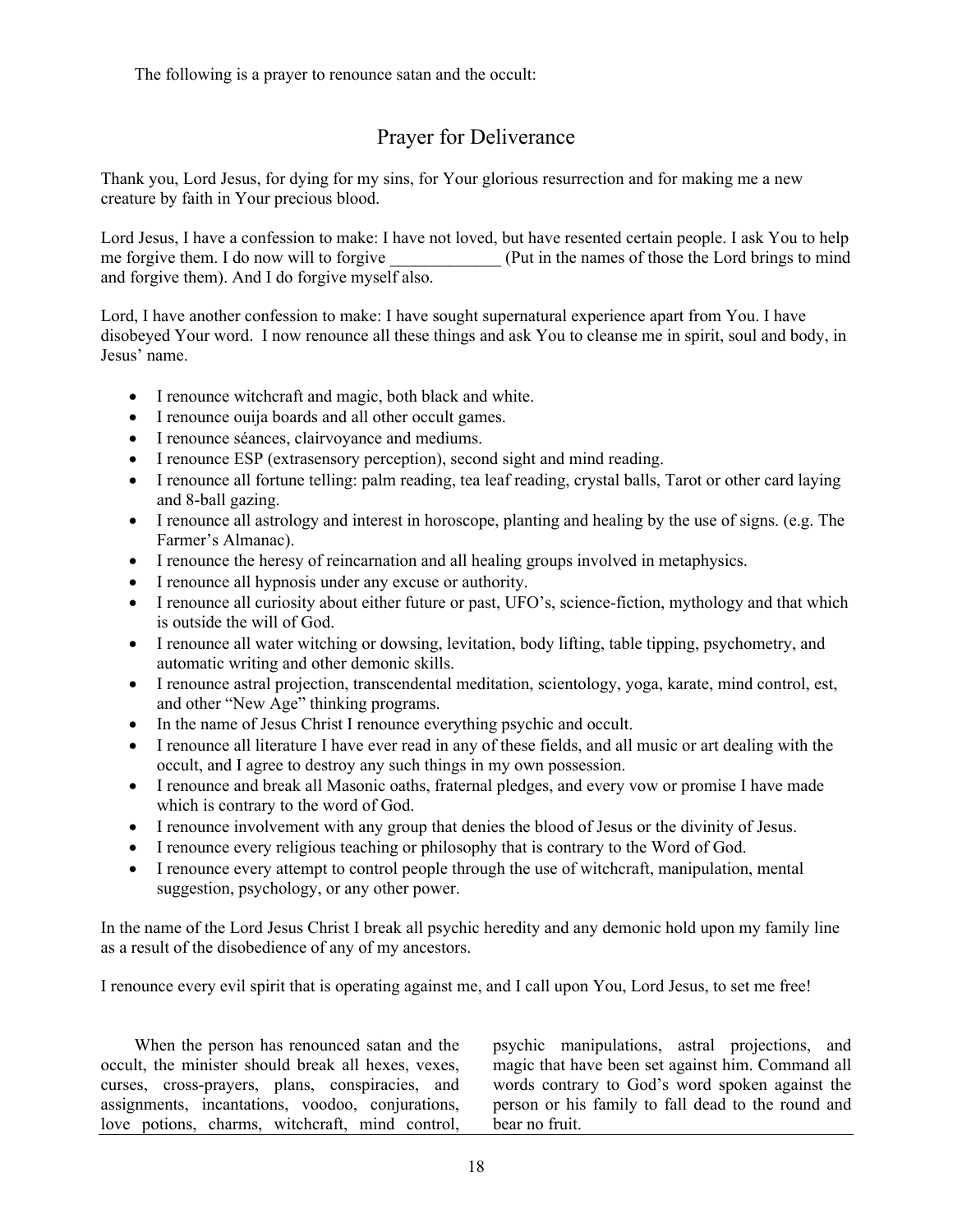The following is a prayer to renounce satan and the occult:

# Prayer for Deliverance

Thank you, Lord Jesus, for dying for my sins, for Your glorious resurrection and for making me a new creature by faith in Your precious blood.

Lord Jesus, I have a confession to make: I have not loved, but have resented certain people. I ask You to help me forgive them. I do now will to forgive  $(Put in the names of those the Lord brings to mind)$ and forgive them). And I do forgive myself also.

Lord, I have another confession to make: I have sought supernatural experience apart from You. I have disobeyed Your word. I now renounce all these things and ask You to cleanse me in spirit, soul and body, in Jesus' name.

- I renounce witchcraft and magic, both black and white.
- I renounce ouija boards and all other occult games.
- I renounce séances, clairvoyance and mediums.
- I renounce ESP (extrasensory perception), second sight and mind reading.
- I renounce all fortune telling: palm reading, tea leaf reading, crystal balls, Tarot or other card laying and 8-ball gazing.
- I renounce all astrology and interest in horoscope, planting and healing by the use of signs. (e.g. The Farmer's Almanac).
- I renounce the heresy of reincarnation and all healing groups involved in metaphysics.
- I renounce all hypnosis under any excuse or authority.
- I renounce all curiosity about either future or past, UFO's, science-fiction, mythology and that which is outside the will of God.
- I renounce all water witching or dowsing, levitation, body lifting, table tipping, psychometry, and automatic writing and other demonic skills.
- I renounce astral projection, transcendental meditation, scientology, yoga, karate, mind control, est, and other "New Age" thinking programs.
- In the name of Jesus Christ I renounce everything psychic and occult.
- I renounce all literature I have ever read in any of these fields, and all music or art dealing with the occult, and I agree to destroy any such things in my own possession.
- I renounce and break all Masonic oaths, fraternal pledges, and every vow or promise I have made which is contrary to the word of God.
- I renounce involvement with any group that denies the blood of Jesus or the divinity of Jesus.
- I renounce every religious teaching or philosophy that is contrary to the Word of God.
- I renounce every attempt to control people through the use of witchcraft, manipulation, mental suggestion, psychology, or any other power.

In the name of the Lord Jesus Christ I break all psychic heredity and any demonic hold upon my family line as a result of the disobedience of any of my ancestors.

I renounce every evil spirit that is operating against me, and I call upon You, Lord Jesus, to set me free!

When the person has renounced satan and the occult, the minister should break all hexes, vexes, curses, cross-prayers, plans, conspiracies, and assignments, incantations, voodoo, conjurations, love potions, charms, witchcraft, mind control,

psychic manipulations, astral projections, and magic that have been set against him. Command all words contrary to God's word spoken against the person or his family to fall dead to the round and bear no fruit.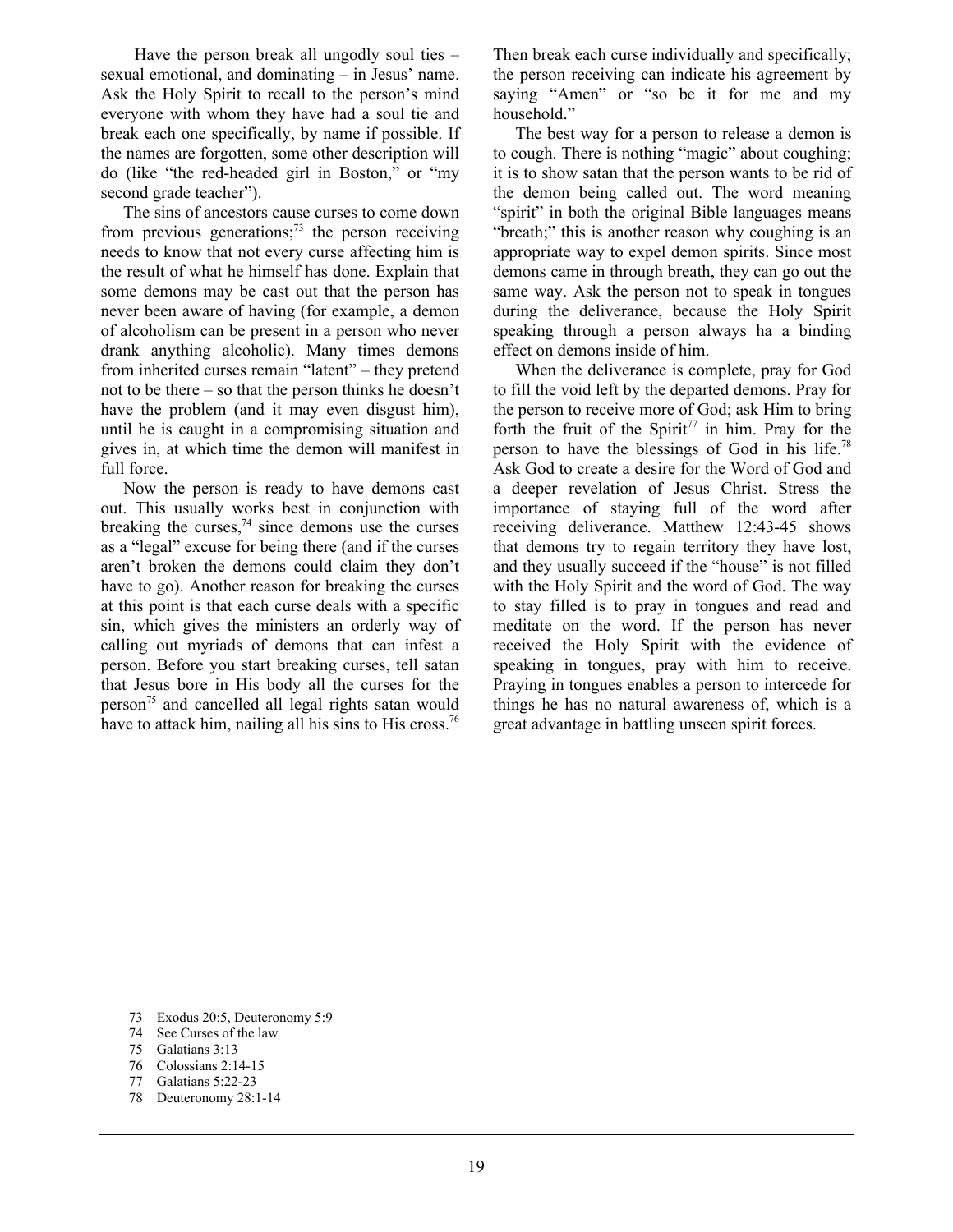Have the person break all ungodly soul ties – sexual emotional, and dominating – in Jesus' name. Ask the Holy Spirit to recall to the person's mind everyone with whom they have had a soul tie and break each one specifically, by name if possible. If the names are forgotten, some other description will do (like "the red-headed girl in Boston," or "my second grade teacher").

 The sins of ancestors cause curses to come down from previous generations; $^{73}$  the person receiving needs to know that not every curse affecting him is the result of what he himself has done. Explain that some demons may be cast out that the person has never been aware of having (for example, a demon of alcoholism can be present in a person who never drank anything alcoholic). Many times demons from inherited curses remain "latent" – they pretend not to be there – so that the person thinks he doesn't have the problem (and it may even disgust him), until he is caught in a compromising situation and gives in, at which time the demon will manifest in full force.

 Now the person is ready to have demons cast out. This usually works best in conjunction with breaking the curses,<sup>74</sup> since demons use the curses as a "legal" excuse for being there (and if the curses aren't broken the demons could claim they don't have to go). Another reason for breaking the curses at this point is that each curse deals with a specific sin, which gives the ministers an orderly way of calling out myriads of demons that can infest a person. Before you start breaking curses, tell satan that Jesus bore in His body all the curses for the  $person<sup>75</sup>$  and cancelled all legal rights satan would have to attack him, nailing all his sins to His cross.<sup>76</sup>

Then break each curse individually and specifically; the person receiving can indicate his agreement by saying "Amen" or "so be it for me and my household."

 The best way for a person to release a demon is to cough. There is nothing "magic" about coughing; it is to show satan that the person wants to be rid of the demon being called out. The word meaning "spirit" in both the original Bible languages means "breath;" this is another reason why coughing is an appropriate way to expel demon spirits. Since most demons came in through breath, they can go out the same way. Ask the person not to speak in tongues during the deliverance, because the Holy Spirit speaking through a person always ha a binding effect on demons inside of him.

 When the deliverance is complete, pray for God to fill the void left by the departed demons. Pray for the person to receive more of God; ask Him to bring forth the fruit of the Spirit<sup>77</sup> in him. Pray for the person to have the blessings of God in his life.78 Ask God to create a desire for the Word of God and a deeper revelation of Jesus Christ. Stress the importance of staying full of the word after receiving deliverance. Matthew 12:43-45 shows that demons try to regain territory they have lost, and they usually succeed if the "house" is not filled with the Holy Spirit and the word of God. The way to stay filled is to pray in tongues and read and meditate on the word. If the person has never received the Holy Spirit with the evidence of speaking in tongues, pray with him to receive. Praying in tongues enables a person to intercede for things he has no natural awareness of, which is a great advantage in battling unseen spirit forces.

- 75 Galatians 3:13
- 76 Colossians 2:14-15
- 77 Galatians 5:22-23
- 78 Deuteronomy 28:1-14

<sup>73</sup> Exodus 20:5, Deuteronomy 5:9

<sup>74</sup> See Curses of the law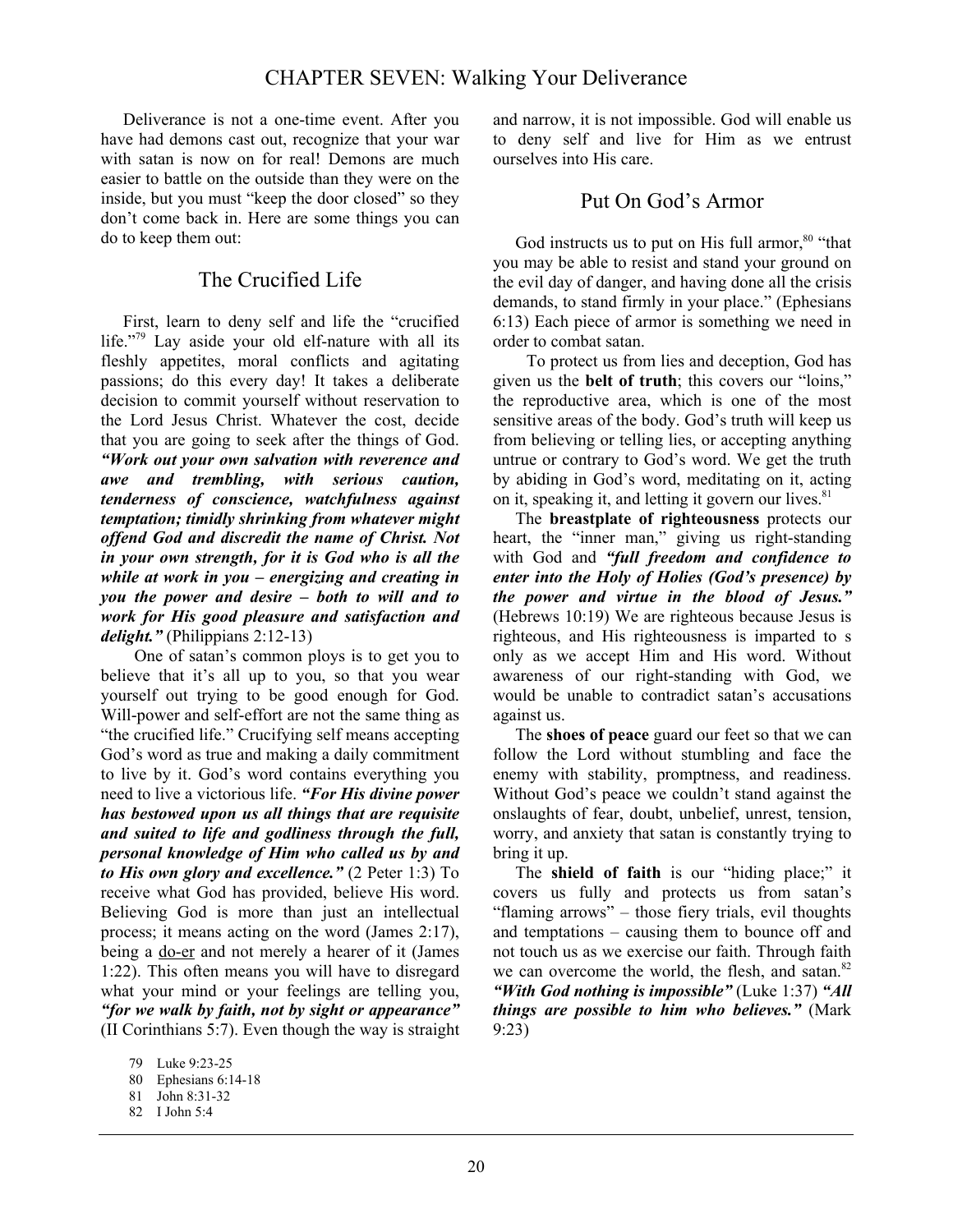## CHAPTER SEVEN: Walking Your Deliverance

 Deliverance is not a one-time event. After you have had demons cast out, recognize that your war with satan is now on for real! Demons are much easier to battle on the outside than they were on the inside, but you must "keep the door closed" so they don't come back in. Here are some things you can do to keep them out:

## The Crucified Life

 First, learn to deny self and life the "crucified life."79 Lay aside your old elf-nature with all its fleshly appetites, moral conflicts and agitating passions; do this every day! It takes a deliberate decision to commit yourself without reservation to the Lord Jesus Christ. Whatever the cost, decide that you are going to seek after the things of God. *"Work out your own salvation with reverence and awe and trembling, with serious caution, tenderness of conscience, watchfulness against temptation; timidly shrinking from whatever might offend God and discredit the name of Christ. Not in your own strength, for it is God who is all the while at work in you – energizing and creating in you the power and desire – both to will and to work for His good pleasure and satisfaction and delight."* (Philippians 2:12-13)

One of satan's common ploys is to get you to believe that it's all up to you, so that you wear yourself out trying to be good enough for God. Will-power and self-effort are not the same thing as "the crucified life." Crucifying self means accepting God's word as true and making a daily commitment to live by it. God's word contains everything you need to live a victorious life. *"For His divine power has bestowed upon us all things that are requisite and suited to life and godliness through the full, personal knowledge of Him who called us by and to His own glory and excellence."* (2 Peter 1:3) To receive what God has provided, believe His word. Believing God is more than just an intellectual process; it means acting on the word (James 2:17), being a do-er and not merely a hearer of it (James 1:22). This often means you will have to disregard what your mind or your feelings are telling you, *"for we walk by faith, not by sight or appearance"* (II Corinthians 5:7). Even though the way is straight and narrow, it is not impossible. God will enable us to deny self and live for Him as we entrust ourselves into His care.

#### Put On God's Armor

God instructs us to put on His full armor, $80$  "that you may be able to resist and stand your ground on the evil day of danger, and having done all the crisis demands, to stand firmly in your place." (Ephesians 6:13) Each piece of armor is something we need in order to combat satan.

To protect us from lies and deception, God has given us the **belt of truth**; this covers our "loins," the reproductive area, which is one of the most sensitive areas of the body. God's truth will keep us from believing or telling lies, or accepting anything untrue or contrary to God's word. We get the truth by abiding in God's word, meditating on it, acting on it, speaking it, and letting it govern our lives.<sup>81</sup>

 The **breastplate of righteousness** protects our heart, the "inner man," giving us right-standing with God and *"full freedom and confidence to enter into the Holy of Holies (God's presence) by the power and virtue in the blood of Jesus."* (Hebrews 10:19) We are righteous because Jesus is righteous, and His righteousness is imparted to s only as we accept Him and His word. Without awareness of our right-standing with God, we would be unable to contradict satan's accusations against us.

 The **shoes of peace** guard our feet so that we can follow the Lord without stumbling and face the enemy with stability, promptness, and readiness. Without God's peace we couldn't stand against the onslaughts of fear, doubt, unbelief, unrest, tension, worry, and anxiety that satan is constantly trying to bring it up.

 The **shield of faith** is our "hiding place;" it covers us fully and protects us from satan's "flaming arrows" – those fiery trials, evil thoughts and temptations – causing them to bounce off and not touch us as we exercise our faith. Through faith we can overcome the world, the flesh, and satan. $82$ *"With God nothing is impossible"* (Luke 1:37) *"All things are possible to him who believes."* (Mark 9:23)

<sup>79</sup> Luke 9:23-25

<sup>80</sup> Ephesians 6:14-18

<sup>81</sup> John 8:31-32

<sup>82</sup> I John 5:4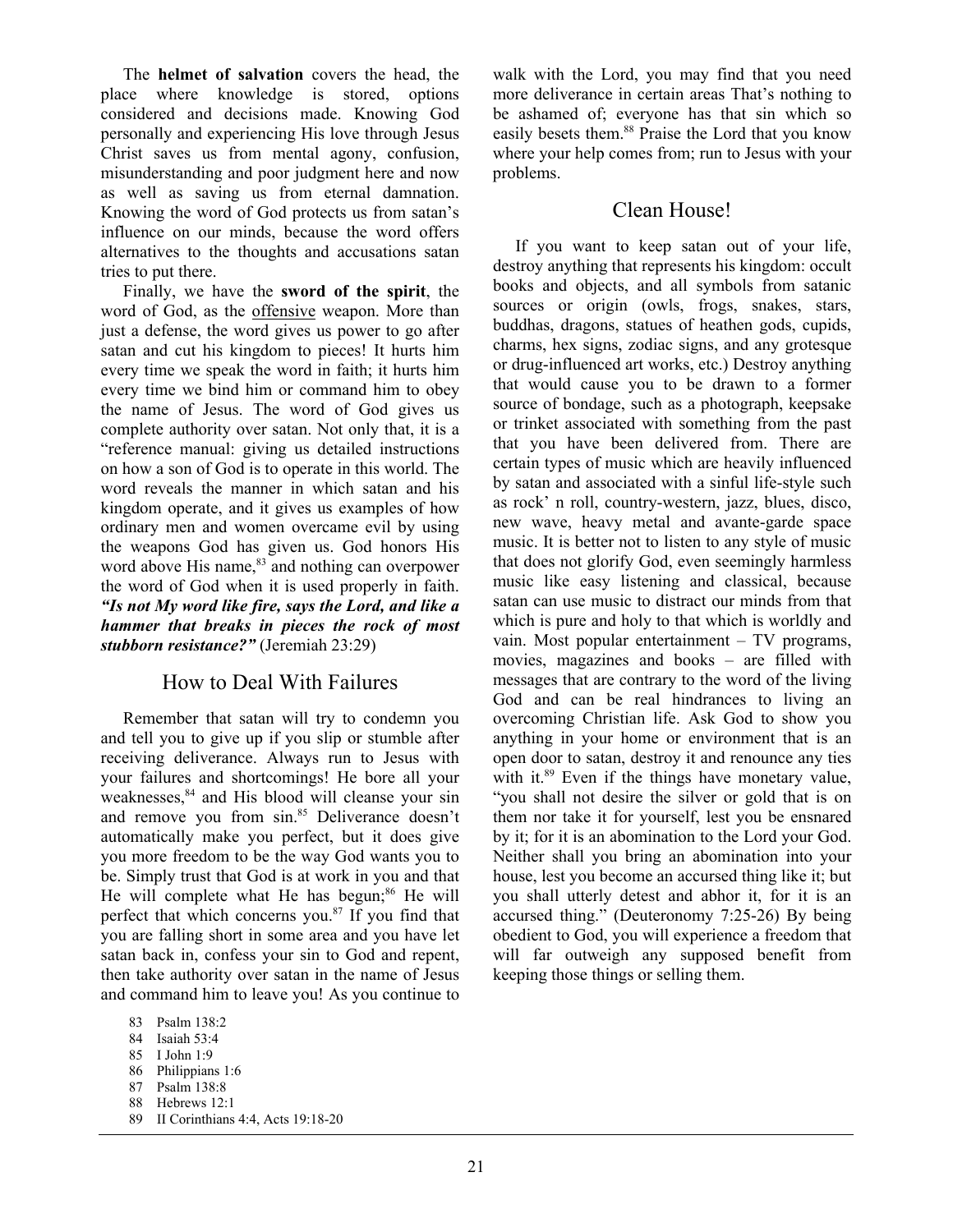The **helmet of salvation** covers the head, the place where knowledge is stored, options considered and decisions made. Knowing God personally and experiencing His love through Jesus Christ saves us from mental agony, confusion, misunderstanding and poor judgment here and now as well as saving us from eternal damnation. Knowing the word of God protects us from satan's influence on our minds, because the word offers alternatives to the thoughts and accusations satan tries to put there.

 Finally, we have the **sword of the spirit**, the word of God, as the offensive weapon. More than just a defense, the word gives us power to go after satan and cut his kingdom to pieces! It hurts him every time we speak the word in faith; it hurts him every time we bind him or command him to obey the name of Jesus. The word of God gives us complete authority over satan. Not only that, it is a "reference manual: giving us detailed instructions on how a son of God is to operate in this world. The word reveals the manner in which satan and his kingdom operate, and it gives us examples of how ordinary men and women overcame evil by using the weapons God has given us. God honors His word above His name,<sup>83</sup> and nothing can overpower the word of God when it is used properly in faith. *"Is not My word like fire, says the Lord, and like a hammer that breaks in pieces the rock of most stubborn resistance?"* (Jeremiah 23:29)

## How to Deal With Failures

 Remember that satan will try to condemn you and tell you to give up if you slip or stumble after receiving deliverance. Always run to Jesus with your failures and shortcomings! He bore all your weaknesses,<sup>84</sup> and His blood will cleanse your sin and remove you from sin.<sup>85</sup> Deliverance doesn't automatically make you perfect, but it does give you more freedom to be the way God wants you to be. Simply trust that God is at work in you and that He will complete what He has begun; $86$  He will perfect that which concerns you. $87$  If you find that you are falling short in some area and you have let satan back in, confess your sin to God and repent, then take authority over satan in the name of Jesus and command him to leave you! As you continue to

87 Psalm 138:8

walk with the Lord, you may find that you need more deliverance in certain areas That's nothing to be ashamed of; everyone has that sin which so easily besets them.<sup>88</sup> Praise the Lord that you know where your help comes from; run to Jesus with your problems.

#### Clean House!

 If you want to keep satan out of your life, destroy anything that represents his kingdom: occult books and objects, and all symbols from satanic sources or origin (owls, frogs, snakes, stars, buddhas, dragons, statues of heathen gods, cupids, charms, hex signs, zodiac signs, and any grotesque or drug-influenced art works, etc.) Destroy anything that would cause you to be drawn to a former source of bondage, such as a photograph, keepsake or trinket associated with something from the past that you have been delivered from. There are certain types of music which are heavily influenced by satan and associated with a sinful life-style such as rock' n roll, country-western, jazz, blues, disco, new wave, heavy metal and avante-garde space music. It is better not to listen to any style of music that does not glorify God, even seemingly harmless music like easy listening and classical, because satan can use music to distract our minds from that which is pure and holy to that which is worldly and vain. Most popular entertainment – TV programs, movies, magazines and books – are filled with messages that are contrary to the word of the living God and can be real hindrances to living an overcoming Christian life. Ask God to show you anything in your home or environment that is an open door to satan, destroy it and renounce any ties with it.<sup>89</sup> Even if the things have monetary value, "you shall not desire the silver or gold that is on them nor take it for yourself, lest you be ensnared by it; for it is an abomination to the Lord your God. Neither shall you bring an abomination into your house, lest you become an accursed thing like it; but you shall utterly detest and abhor it, for it is an accursed thing." (Deuteronomy 7:25-26) By being obedient to God, you will experience a freedom that will far outweigh any supposed benefit from keeping those things or selling them.

<sup>83</sup> Psalm 138:2

<sup>84</sup> Isaiah 53:4

<sup>85</sup> I John 1:9

<sup>86</sup> Philippians 1:6

<sup>88</sup> Hebrews 12:1

<sup>89</sup> II Corinthians 4:4, Acts 19:18-20